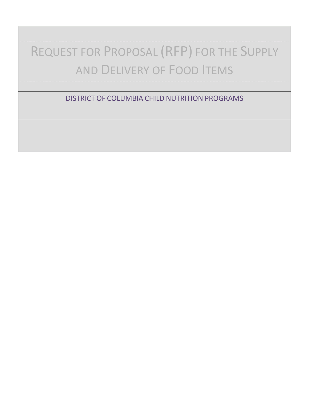# REQUEST FOR PROPOSAL (RFP) FOR THE SUPPLY AND DELIVERY OF FOOD ITEMS

DISTRICT OF COLUMBIA CHILD NUTRITION PROGRAMS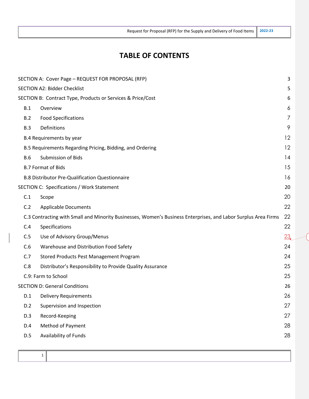Request for Proposal (RFP) for the Supply and Delivery of Food Items **2022-23**

# **TABLE OF CONTENTS**

|            | SECTION A: Cover Page - REQUEST FOR PROPOSAL (RFP)                                                             | 3              |
|------------|----------------------------------------------------------------------------------------------------------------|----------------|
|            | <b>SECTION A2: Bidder Checklist</b>                                                                            | 5              |
|            | SECTION B: Contract Type, Products or Services & Price/Cost                                                    | 6              |
| B.1        | Overview                                                                                                       | 6              |
| B.2        | <b>Food Specifications</b>                                                                                     | $\overline{7}$ |
| B.3        | Definitions                                                                                                    | 9              |
|            | B.4 Requirements by year                                                                                       | 12             |
|            | B.5 Requirements Regarding Pricing, Bidding, and Ordering                                                      | 12             |
| <b>B.6</b> | <b>Submission of Bids</b>                                                                                      | 14             |
|            | <b>B.7 Format of Bids</b>                                                                                      | 15             |
|            | <b>B.8 Distributor Pre-Qualification Questionnaire</b>                                                         | 16             |
|            | SECTION C: Specifications / Work Statement                                                                     | 20             |
| C.1        | Scope                                                                                                          | 20             |
| C.2        | <b>Applicable Documents</b>                                                                                    | 22             |
|            | C.3 Contracting with Small and Minority Businesses, Women's Business Enterprises, and Labor Surplus Area Firms | 22             |
| C.4        | Specifications                                                                                                 | 22             |
| C.5        | Use of Advisory Group/Menus                                                                                    | 23             |
| C.6        | Warehouse and Distribution Food Safety                                                                         | 24             |
| C.7        | Stored Products Pest Management Program                                                                        | 24             |
| C.8        | Distributor's Responsibility to Provide Quality Assurance                                                      | 25             |
|            | C.9: Farm to School                                                                                            | 25             |
|            | <b>SECTION D: General Conditions</b>                                                                           | 26             |
| D.1        | <b>Delivery Requirements</b>                                                                                   | 26             |
| D.2        | Supervision and Inspection                                                                                     | 27             |
| D.3        | Record-Keeping                                                                                                 | 27             |
| D.4        | Method of Payment                                                                                              | 28             |
| D.5        | Availability of Funds                                                                                          | 28             |
|            |                                                                                                                |                |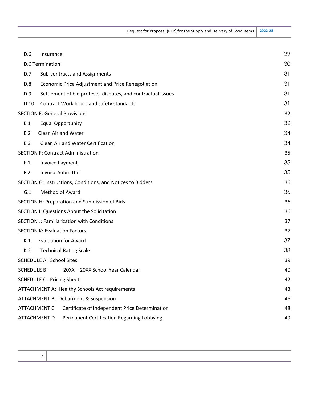Request for Proposal (RFP) for the Supply and Delivery of Food Items **2022-23**

| D.6                | Insurance                                                             | 29 |
|--------------------|-----------------------------------------------------------------------|----|
|                    | <b>D.6 Termination</b>                                                | 30 |
| D.7                | Sub-contracts and Assignments                                         | 31 |
|                    |                                                                       |    |
| D.8                | Economic Price Adjustment and Price Renegotiation                     | 31 |
| D.9                | Settlement of bid protests, disputes, and contractual issues          | 31 |
| D.10               | Contract Work hours and safety standards                              | 31 |
|                    | <b>SECTION E: General Provisions</b>                                  | 32 |
| E.1                | <b>Equal Opportunity</b>                                              | 32 |
| E.2                | Clean Air and Water                                                   | 34 |
| E.3                | Clean Air and Water Certification                                     | 34 |
|                    | <b>SECTION F: Contract Administration</b>                             | 35 |
| F.1                | <b>Invoice Payment</b>                                                | 35 |
| F.2                | <b>Invoice Submittal</b>                                              | 35 |
|                    | SECTION G: Instructions, Conditions, and Notices to Bidders           | 36 |
| G.1                | <b>Method of Award</b>                                                | 36 |
|                    | SECTION H: Preparation and Submission of Bids                         | 36 |
|                    | SECTION I: Questions About the Solicitation                           | 36 |
|                    | <b>SECTION J: Familiarization with Conditions</b>                     | 37 |
|                    | <b>SECTION K: Evaluation Factors</b>                                  | 37 |
| K.1                | <b>Evaluation for Award</b>                                           | 37 |
| K.2                | <b>Technical Rating Scale</b>                                         | 38 |
|                    | <b>SCHEDULE A: School Sites</b>                                       | 39 |
| <b>SCHEDULE B:</b> | 20XX - 20XX School Year Calendar                                      | 40 |
|                    | <b>SCHEDULE C: Pricing Sheet</b>                                      | 42 |
|                    | ATTACHMENT A: Healthy Schools Act requirements                        | 43 |
|                    | ATTACHMENT B: Debarment & Suspension                                  | 46 |
|                    | <b>ATTACHMENT C</b><br>Certificate of Independent Price Determination | 48 |
|                    | Permanent Certification Regarding Lobbying<br>ATTACHMENT D            | 49 |
|                    |                                                                       |    |

 $\mathsf{l}$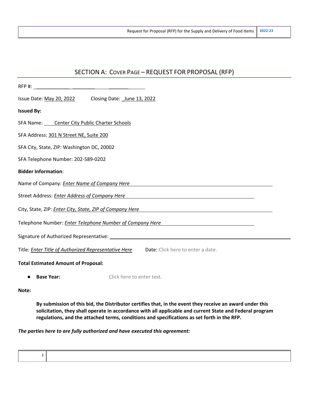| SECTION A: COVER PAGE - REQUEST FOR PROPOSAL (RFP)                                                                                                                                                                                  |
|-------------------------------------------------------------------------------------------------------------------------------------------------------------------------------------------------------------------------------------|
| RFP #:                                                                                                                                                                                                                              |
| Issue Date: May 20, 2022<br>Closing Date: June 13, 2022                                                                                                                                                                             |
| <b>Issued By:</b>                                                                                                                                                                                                                   |
| SFA Name: Center City Public Charter Schools                                                                                                                                                                                        |
| SFA Address: 301 N Street NE, Suite 200                                                                                                                                                                                             |
| SFA City, State, ZIP: Washington DC, 20002                                                                                                                                                                                          |
| SFA Telephone Number: 202-589-0202                                                                                                                                                                                                  |
| <b>Bidder Information:</b>                                                                                                                                                                                                          |
| Name of Company: <i>Enter Name of Company Here</i> Name of The Company of The Company of The Company of The Company of The Company of The Company of The Company of The Company of The Company of The Company of The Company of The |
| Street Address: <b>Enter Address of Company Here</b>                                                                                                                                                                                |
| City, State, ZIP: Enter City, State, ZIP of Company Here<br><u> 1989 - Johann John Stein, fransk politik (d. 1989)</u>                                                                                                              |
| Telephone Number: <i>Enter Telephone Number of Company Here</i>                                                                                                                                                                     |
|                                                                                                                                                                                                                                     |
| Title: <i>Enter Title of Authorized Representative Here</i><br>Date: Click here to enter a date.                                                                                                                                    |
| <b>Total Estimated Amount of Proposal:</b>                                                                                                                                                                                          |

● **Base Year:** Click here to enter text.

**Note:** 

**By submission of this bid, the Distributor certifies that, in the event they receive an award under this solicitation, they shall operate in accordance with all applicable and current State and Federal program regulations, and the attached terms, conditions and specifications as set forth in the RFP.**

#### *The parties here to are fully authorized and have executed this agreement:*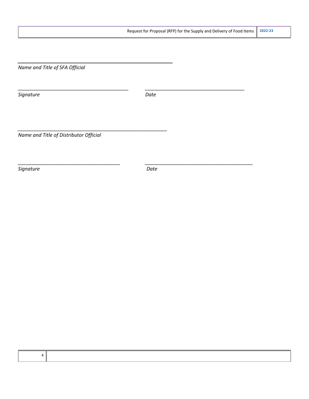*Name and Title of SFA Official* 

*\_\_\_\_\_\_\_\_\_\_\_\_\_\_\_\_\_\_\_\_\_\_\_\_\_\_\_\_\_\_\_\_\_\_\_\_\_\_\_\_\_\_\_\_\_\_\_\_\_\_\_\_\_\_\_\_* 

*\_\_\_\_\_\_\_\_\_\_\_\_\_\_\_\_\_\_\_\_\_\_\_\_\_\_\_\_\_\_\_\_\_\_\_\_\_\_\_\_\_\_\_\_\_\_\_\_\_\_\_\_\_\_*

**Signature** Date

*\_\_\_\_\_\_\_\_\_\_\_\_\_\_\_\_\_\_\_\_\_\_\_\_\_\_\_\_\_\_\_\_\_\_\_\_\_\_\_\_ \_\_\_\_\_\_\_\_\_\_\_\_\_\_\_\_\_\_\_\_\_\_\_\_\_\_\_\_\_\_\_\_\_\_\_\_* 

*Name and Title of Distributor Official*

**Signature** Date

*\_\_\_\_\_\_\_\_\_\_\_\_\_\_\_\_\_\_\_\_\_\_\_\_\_\_\_\_\_\_\_\_\_\_\_\_\_ \_\_\_\_\_\_\_\_\_\_\_\_\_\_\_\_\_\_\_\_\_\_\_\_\_\_\_\_\_\_\_\_\_\_\_\_\_\_\_*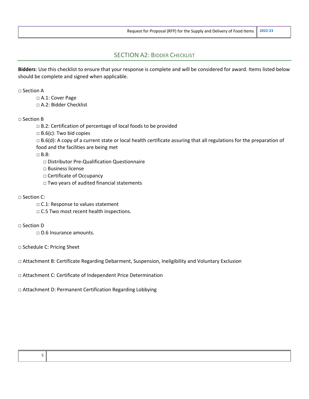## SECTION A2: BIDDER CHECKLIST

**Bidders**: Use this checklist to ensure that your response is complete and will be considered for award. Items listed below should be complete and signed when applicable.

#### $\sqcap$  Section A

- □ A.1: Cover Page
- □ A.2: Bidder Checklist

#### □ Section B

- □ B.2: Certification of percentage of local foods to be provided
- $\Box$  B.6(c): Two bid copies
- $\Box$  B.6(d): A copy of a current state or local health certificate assuring that all regulations for the preparation of food and the facilities are being met

□ B.8:

- □ Distributor Pre-Qualification Questionnaire
- □ Business license
- □ Certificate of Occupancy
- □ Two years of audited financial statements

#### □ Section C:

- □ C.1: Response to values statement
- $\Box$  C.5 Two most recent health inspections.

#### □ Section D

- □ D.6 Insurance amounts.
- □ Schedule C: Pricing Sheet
- □ Attachment B: Certificate Regarding Debarment, Suspension, Ineligibility and Voluntary Exclusion
- □ Attachment C: Certificate of Independent Price Determination
- □ Attachment D: Permanent Certification Regarding Lobbying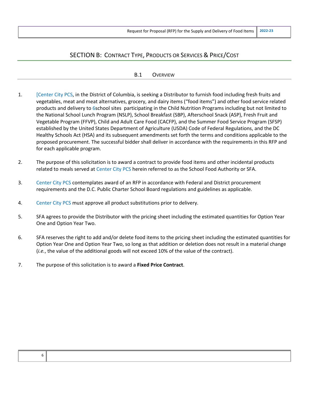## SECTION B: CONTRACT TYPE, PRODUCTS OR SERVICES & PRICE/COST

#### B.1 OVERVIEW

- 1. [Center City PCS, in the District of Columbia, is seeking a Distributor to furnish food including fresh fruits and vegetables, meat and meat alternatives, grocery, and dairy items ("food items") and other food service related products and delivery to 6school sites participating in the Child Nutrition Programs including but not limited to the National School Lunch Program (NSLP), School Breakfast (SBP), Afterschool Snack (ASP), Fresh Fruit and Vegetable Program (FFVP), Child and Adult Care Food (CACFP), and the Summer Food Service Program (SFSP) established by the United States Department of Agriculture (USDA) Code of Federal Regulations, and the DC Healthy Schools Act (HSA) and its subsequent amendments set forth the terms and conditions applicable to the proposed procurement. The successful bidder shall deliver in accordance with the requirements in this RFP and for each applicable program.
- 2. The purpose of this solicitation is to award a contract to provide food items and other incidental products related to meals served at Center City PCS herein referred to as the School Food Authority or SFA.
- 3. Center City PCS contemplates award of an RFP in accordance with Federal and District procurement requirements and the D.C. Public Charter School Board regulations and guidelines as applicable.
- 4. Center City PCS must approve all product substitutions prior to delivery.
- 5. SFA agrees to provide the Distributor with the pricing sheet including the estimated quantities for Option Year One and Option Year Two.
- 6. SFA reserves the right to add and/or delete food items to the pricing sheet including the estimated quantities for Option Year One and Option Year Two, so long as that addition or deletion does not result in a material change (*i.e.*, the value of the additional goods will not exceed 10% of the value of the contract).
- 7. The purpose of this solicitation is to award a **Fixed Price Contract**.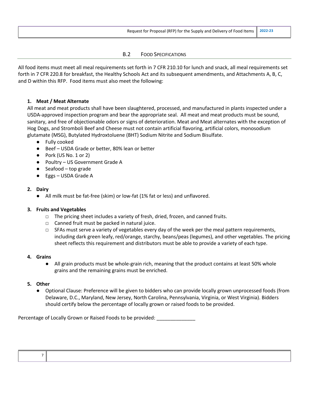#### B.2 FOOD SPECIFICATIONS

All food items must meet all meal requirements set forth in 7 CFR 210.10 for lunch and snack, all meal requirements set forth in 7 CFR 220.8 for breakfast, the Healthy Schools Act and its subsequent amendments, and Attachments A, B, C, and D within this RFP. Food items must also meet the following:

#### **1. Meat / Meat Alternate**

All meat and meat products shall have been slaughtered, processed, and manufactured in plants inspected under a USDA-approved inspection program and bear the appropriate seal. All meat and meat products must be sound, sanitary, and free of objectionable odors or signs of deterioration. Meat and Meat alternates with the exception of Hog Dogs, and Stromboli Beef and Cheese must not contain artificial flavoring, artificial colors, monosodium glutamate (MSG), Butylated Hydroxtoluene (BHT) Sodium Nitrite and Sodium Bisulfate.

- Fully cooked
- Beef USDA Grade or better, 80% lean or better
- Pork (US No. 1 or 2)
- Poultry US Government Grade A
- Seafood top grade
- Eggs USDA Grade A

#### **2. Dairy**

● All milk must be fat-free (skim) or low-fat (1% fat or less) and unflavored.

#### **3. Fruits and Vegetables**

- $\Box$  The pricing sheet includes a variety of fresh, dried, frozen, and canned fruits.
- $\Box$  Canned fruit must be packed in natural juice.
- $\square$  SFAs must serve a variety of vegetables every day of the week per the meal pattern requirements, including dark green leafy, red/orange, starchy, beans/peas (legumes), and other vegetables. The pricing sheet reflects this requirement and distributors must be able to provide a variety of each type.

#### **4. Grains**

● All grain products must be whole-grain rich, meaning that the product contains at least 50% whole grains and the remaining grains must be enriched.

#### **5. Other**

● Optional Clause: Preference will be given to bidders who can provide locally grown unprocessed foods (from Delaware, D.C., Maryland, New Jersey, North Carolina, Pennsylvania, Virginia, or West Virginia). Bidders should certify below the percentage of locally grown or raised foods to be provided.

Percentage of Locally Grown or Raised Foods to be provided: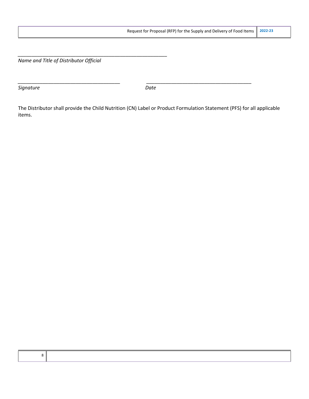*Name and Title of Distributor Official*

*\_\_\_\_\_\_\_\_\_\_\_\_\_\_\_\_\_\_\_\_\_\_\_\_\_\_\_\_\_\_\_\_\_\_\_\_\_\_\_\_\_\_\_\_\_\_\_\_\_\_\_\_\_\_*

**Signature** Date

*\_\_\_\_\_\_\_\_\_\_\_\_\_\_\_\_\_\_\_\_\_\_\_\_\_\_\_\_\_\_\_\_\_\_\_\_\_ \_\_\_\_\_\_\_\_\_\_\_\_\_\_\_\_\_\_\_\_\_\_\_\_\_\_\_\_\_\_\_\_\_\_\_\_\_\_*

The Distributor shall provide the Child Nutrition (CN) Label or Product Formulation Statement (PFS) for all applicable items.

| ï       |
|---------|
| M.<br>v |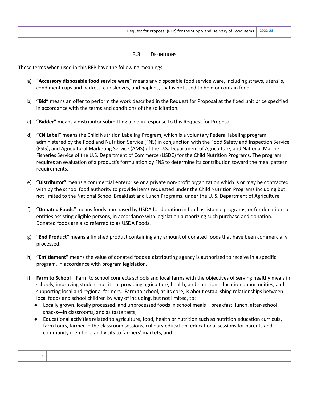#### B.3 DEFINITIONS

These terms when used in this RFP have the following meanings:

- a) "**Accessory disposable food service ware**" means any disposable food service ware, including straws, utensils, condiment cups and packets, cup sleeves, and napkins, that is not used to hold or contain food.
- b) **"Bid"** means an offer to perform the work described in the Request for Proposal at the fixed unit price specified in accordance with the terms and conditions of the solicitation.
- c) **"Bidder"** means a distributor submitting a bid in response to this Request for Proposal.
- d) **"CN Label"** means the Child Nutrition Labeling Program, which is a voluntary Federal labeling program administered by the Food and Nutrition Service (FNS) in conjunction with the Food Safety and Inspection Service (FSIS), and Agricultural Marketing Service (AMS) of the U.S. Department of Agriculture, and National Marine Fisheries Service of the U.S. Department of Commerce (USDC) for the Child Nutrition Programs. The program requires an evaluation of a product's formulation by FNS to determine its contribution toward the meal pattern requirements.
- e) **"Distributor"** means a commercial enterprise or a private non-profit organization which is or may be contracted with by the school food authority to provide items requested under the Child Nutrition Programs including but not limited to the National School Breakfast and Lunch Programs, under the U. S. Department of Agriculture.
- f) **"Donated Foods"** means foods purchased by USDA for donation in food assistance programs, or for donation to entities assisting eligible persons, in accordance with legislation authorizing such purchase and donation. Donated foods are also referred to as USDA Foods.
- g) **"End Product"** means a finished product containing any amount of donated foods that have been commercially processed.
- h) **"Entitlement"** means the value of donated foods a distributing agency is authorized to receive in a specific program, in accordance with program legislation.
- i) **Farm to School** Farm to school connects schools and local farms with the objectives of serving healthy meals in schools; improving student nutrition; providing agriculture, health, and nutrition education opportunities; and supporting local and regional farmers. Farm to school, at its core, is about establishing relationships between local foods and school children by way of including, but not limited, to:
	- Locally grown, locally processed, and unprocessed foods in school meals breakfast, lunch, after-school snacks—in classrooms, and as taste tests;
	- Educational activities related to agriculture, food, health or nutrition such as nutrition education curricula, farm tours, farmer in the classroom sessions, culinary education, educational sessions for parents and community members, and visits to farmers' markets; and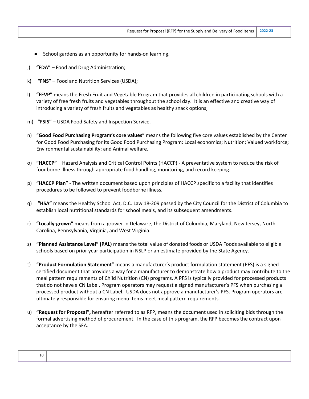- School gardens as an opportunity for hands-on learning.
- j) **"FDA"** Food and Drug Administration;
- k) **"FNS"** Food and Nutrition Services (USDA);
- l) **"FFVP"** means the Fresh Fruit and Vegetable Program that provides all children in participating schools with a variety of free fresh fruits and vegetables throughout the school day. It is an effective and creative way of introducing a variety of fresh fruits and vegetables as healthy snack options;
- m) **"FSIS"** USDA Food Safety and Inspection Service.
- n) "**Good Food Purchasing Program's core values**" means the following five core values established by the Center for Good Food Purchasing for its Good Food Purchasing Program: Local economics; Nutrition; Valued workforce; Environmental sustainability; and Animal welfare.
- o) **"HACCP"** Hazard Analysis and Critical Control Points (HACCP) A preventative system to reduce the risk of foodborne illness through appropriate food handling, monitoring, and record keeping.
- p) **"HACCP Plan"** The written document based upon principles of HACCP specific to a facility that identifies procedures to be followed to prevent foodborne illness.
- q) **"HSA"** means the Healthy School Act, D.C. Law 18-209 passed by the City Council for the District of Columbia to establish local nutritional standards for school meals, and its subsequent amendments.
- r) **"Locally-grown"** means from a grower in Delaware, the District of Columbia, Maryland, New Jersey, North Carolina, Pennsylvania, Virginia, and West Virginia.
- s) **"Planned Assistance Level" (PAL)** means the total value of donated foods or USDA Foods available to eligible schools based on prior year participation in NSLP or an estimate provided by the State Agency.
- t) "**Product Formulation Statement**" means a manufacturer's product formulation statement (PFS) is a signed certified document that provides a way for a manufacturer to demonstrate how a product may contribute to the meal pattern requirements of Child Nutrition (CN) programs. A PFS is typically provided for processed products that do not have a CN Label. Program operators may request a signed manufacturer's PFS when purchasing a processed product without a CN Label. USDA does not approve a manufacturer's PFS. Program operators are ultimately responsible for ensuring menu items meet meal pattern requirements.
- u) **"Request for Proposal",** hereafter referred to as RFP, means the document used in soliciting bids through the formal advertising method of procurement. In the case of this program, the RFP becomes the contract upon acceptance by the SFA.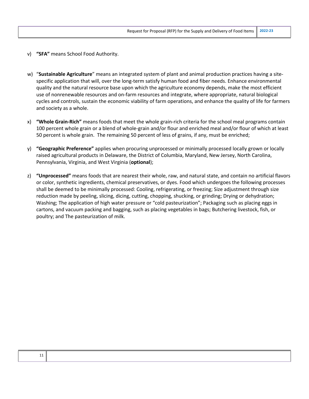- v) **"SFA"** means School Food Authority.
- w) "**Sustainable Agriculture**" means an integrated system of plant and animal production practices having a sitespecific application that will, over the long-term satisfy human food and fiber needs. Enhance environmental quality and the natural resource base upon which the agriculture economy depends, make the most efficient use of nonrenewable resources and on-farm resources and integrate, where appropriate, natural biological cycles and controls, sustain the economic viability of farm operations, and enhance the quality of life for farmers and society as a whole.
- x) **"Whole Grain-Rich"** means foods that meet the whole grain-rich criteria for the school meal programs contain 100 percent whole grain or a blend of whole-grain and/or flour and enriched meal and/or flour of which at least 50 percent is whole grain. The remaining 50 percent of less of grains, if any, must be enriched;
- y) **"Geographic Preference"** applies when procuring unprocessed or minimally processed locally grown or locally raised agricultural products in Delaware, the District of Columbia, Maryland, New Jersey, North Carolina, Pennsylvania, Virginia, and West Virginia (**optional**);
- z) **"Unprocessed"** means foods that are nearest their whole, raw, and natural state, and contain no artificial flavors or color, synthetic ingredients, chemical preservatives, or dyes. Food which undergoes the following processes shall be deemed to be minimally processed: Cooling, refrigerating, or freezing; Size adjustment through size reduction made by peeling, slicing, dicing, cutting, chopping, shucking, or grinding; Drying or dehydration; Washing; The application of high water pressure or "cold pasteurization"; Packaging such as placing eggs in cartons, and vacuum packing and bagging, such as placing vegetables in bags; Butchering livestock, fish, or poultry; and The pasteurization of milk.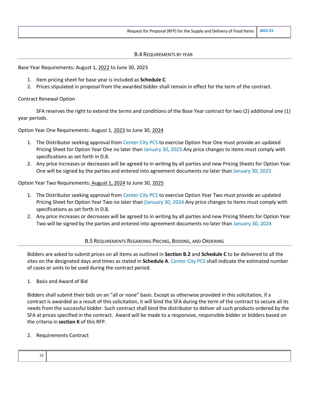#### B.4 REQUIREMENTS BY YEAR

Base Year Requirements: August 1, 2022 to June 30, 2023

- 1. Item pricing sheet for base year is included as **Schedule C**.
- 2. Prices stipulated in proposal from the awarded bidder shall remain in effect for the term of the contract.

#### Contract Renewal Option

SFA reserves the right to extend the terms and conditions of the Base Year contract for two (2) additional one (1) year periods.

Option Year One Requirements: August 1, 2023 to June 30, 2024

- 1. The Distributor seeking approval from Center City PCS to exercise Option Year One must provide an updated Pricing Sheet for Option Year One no later than January 30, 2023 Any price changes to items must comply with specifications as set forth in D.8.
- 2. Any price increases or decreases will be agreed to in writing by all parties and new Pricing Sheets for Option Year One will be signed by the parties and entered into agreement documents no later than January 30, 2023

Option Year Two Requirements: August 1, 2024 to June 30, 2025

- 1. The Distributor seeking approval from Center City PCS to exercise Option Year Two must provide an updated Pricing Sheet for Option Year Two no later than [January 30, 2024 Any price changes to items must comply with specifications as set forth in D.8.
- 2. Any price increases or decreases will be agreed to in writing by all parties and new Pricing Sheets for Option Year Two will be signed by the parties and entered into agreement documents no later than January 30, 2024

#### B.5 REQUIREMENTS REGARDING PRICING, BIDDING, AND ORDERING

Bidders are asked to submit prices on all items as outlined in **Section B.2** and **Schedule C** to be delivered to all the sites on the designated days and times as stated in **Schedule A**. Center City PCS shall indicate the estimated number of cases or units to be used during the contract period.

1. Basis and Award of Bid

Bidders shall submit their bids on an "all or none" basis. Except as otherwise provided in this solicitation, if a contract is awarded as a result of this solicitation, it will bind the SFA during the term of the contract to secure all its needs from the successful bidder. Such contract shall bind the distributor to deliver all such products ordered by the SFA at prices specified in the contract. Award will be made to a responsive, responsible bidder or bidders based on the criteria in **section K** of this RFP.

#### 2. Requirements Contract

| ᅩᄼ |  |  |
|----|--|--|
|    |  |  |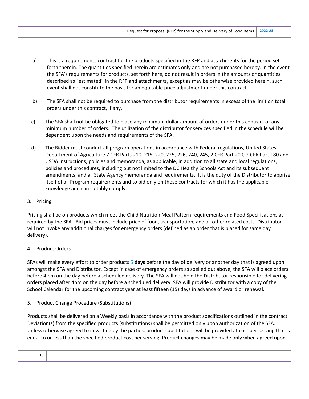- a) This is a requirements contract for the products specified in the RFP and attachments for the period set forth therein. The quantities specified herein are estimates only and are not purchased hereby. In the event the SFA's requirements for products, set forth here, do not result in orders in the amounts or quantities described as "estimated" in the RFP and attachments, except as may be otherwise provided herein, such event shall not constitute the basis for an equitable price adjustment under this contract.
- b) The SFA shall not be required to purchase from the distributor requirements in excess of the limit on total orders under this contract, if any.
- c) The SFA shall not be obligated to place any minimum dollar amount of orders under this contract or any minimum number of orders. The utilization of the distributor for services specified in the schedule will be dependent upon the needs and requirements of the SFA.
- d) The Bidder must conduct all program operations in accordance with Federal regulations, United States Department of Agriculture 7 CFR Parts 210, 215, 220, 225, 226, 240, 245, 2 CFR Part 200, 2 CFR Part 180 and USDA instructions, policies and memoranda, as applicable, in addition to all state and local regulations, policies and procedures, including but not limited to the DC Healthy Schools Act and its subsequent amendments, and all State Agency memoranda and requirements. It is the duty of the Distributor to apprise itself of all Program requirements and to bid only on those contracts for which it has the applicable knowledge and can suitably comply.
- 3. Pricing

Pricing shall be on products which meet the Child Nutrition Meal Pattern requirements and Food Specifications as required by the SFA. Bid prices must include price of food, transportation, and all other related costs. Distributor will not invoke any additional charges for emergency orders (defined as an order that is placed for same day delivery).

## 4. Product Orders

SFAs will make every effort to order products 5 **days** before the day of delivery or another day that is agreed upon amongst the SFA and Distributor. Except in case of emergency orders as spelled out above, the SFA will place orders before 4 pm on the day before a scheduled delivery. The SFA will not hold the Distributor responsible for delivering orders placed after 4pm on the day before a scheduled delivery. SFA will provide Distributor with a copy of the School Calendar for the upcoming contract year at least fifteen (15) days in advance of award or renewal.

5. Product Change Procedure (Substitutions)

Products shall be delivered on a Weekly basis in accordance with the product specifications outlined in the contract. Deviation(s) from the specified products (substitutions) shall be permitted only upon authorization of the SFA. Unless otherwise agreed to in writing by the parties, product substitutions will be provided at cost per serving that is equal to or less than the specified product cost per serving. Product changes may be made only when agreed upon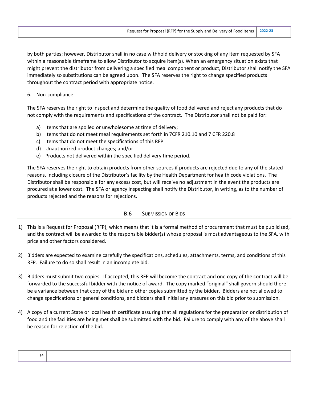by both parties; however, Distributor shall in no case withhold delivery or stocking of any item requested by SFA within a reasonable timeframe to allow Distributor to acquire item(s). When an emergency situation exists that might prevent the distributor from delivering a specified meal component or product, Distributor shall notify the SFA immediately so substitutions can be agreed upon. The SFA reserves the right to change specified products throughout the contract period with appropriate notice.

6. Non-compliance

The SFA reserves the right to inspect and determine the quality of food delivered and reject any products that do not comply with the requirements and specifications of the contract. The Distributor shall not be paid for:

- a) Items that are spoiled or unwholesome at time of delivery;
- b) Items that do not meet meal requirements set forth in 7CFR 210.10 and 7 CFR 220.8
- c) Items that do not meet the specifications of this RFP
- d) Unauthorized product changes; and/or
- e) Products not delivered within the specified delivery time period.

The SFA reserves the right to obtain products from other sources if products are rejected due to any of the stated reasons, including closure of the Distributor's facility by the Health Department for health code violations. The Distributor shall be responsible for any excess cost, but will receive no adjustment in the event the products are procured at a lower cost. The SFA or agency inspecting shall notify the Distributor, in writing, as to the number of products rejected and the reasons for rejections.

#### B.6 SUBMISSION OF BIDS

- 1) This is a Request for Proposal (RFP), which means that it is a formal method of procurement that must be publicized, and the contract will be awarded to the responsible bidder(s) whose proposal is most advantageous to the SFA, with price and other factors considered.
- 2) Bidders are expected to examine carefully the specifications, schedules, attachments, terms, and conditions of this RFP. Failure to do so shall result in an incomplete bid.
- 3) Bidders must submit two copies. If accepted, this RFP will become the contract and one copy of the contract will be forwarded to the successful bidder with the notice of award. The copy marked "original" shall govern should there be a variance between that copy of the bid and other copies submitted by the bidder. Bidders are not allowed to change specifications or general conditions, and bidders shall initial any erasures on this bid prior to submission.
- 4) A copy of a current State or local health certificate assuring that all regulations for the preparation or distribution of food and the facilities are being met shall be submitted with the bid. Failure to comply with any of the above shall be reason for rejection of the bid.

| 14 |  |  |  |
|----|--|--|--|
|    |  |  |  |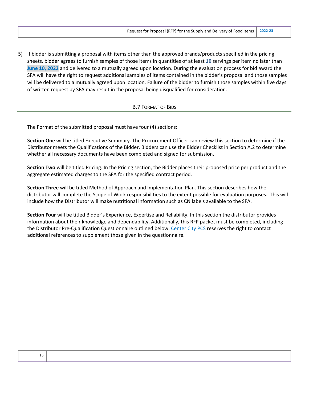5) If bidder is submitting a proposal with items other than the approved brands/products specified in the pricing sheets, bidder agrees to furnish samples of those items in quantities of at least **10** servings per item no later than **June 10, 2022** and delivered to a mutually agreed upon location. During the evaluation process for bid award the SFA will have the right to request additional samples of items contained in the bidder's proposal and those samples will be delivered to a mutually agreed upon location. Failure of the bidder to furnish those samples within five days of written request by SFA may result in the proposal being disqualified for consideration.

#### B.7 FORMAT OF BIDS

The Format of the submitted proposal must have four (4) sections:

**Section One** will be titled Executive Summary. The Procurement Officer can review this section to determine if the Distributor meets the Qualifications of the Bidder. Bidders can use the Bidder Checklist in Section A.2 to determine whether all necessary documents have been completed and signed for submission.

**Section Two** will be titled Pricing. In the Pricing section, the Bidder places their proposed price per product and the aggregate estimated charges to the SFA for the specified contract period.

**Section Three** will be titled Method of Approach and Implementation Plan. This section describes how the distributor will complete the Scope of Work responsibilities to the extent possible for evaluation purposes. This will include how the Distributor will make nutritional information such as CN labels available to the SFA.

**Section Four** will be titled Bidder's Experience, Expertise and Reliability. In this section the distributor provides information about their knowledge and dependability. Additionally, this RFP packet must be completed, including the Distributor Pre-Qualification Questionnaire outlined below. Center City PCS reserves the right to contact additional references to supplement those given in the questionnaire.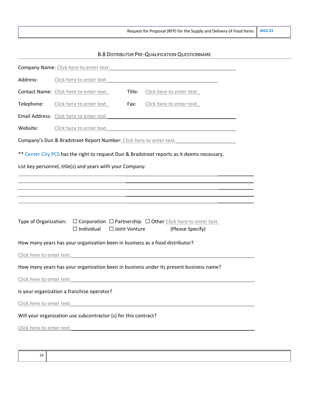## B.8 DISTRIBUTOR PRE-QUALIFICATION QUESTIONNAIRE

|                           | <b>Company Name:</b> Click here to enter text. <b>Example 2014 COMPANY MANUS</b>                                  |                      |                                                                                                                                                                                                          |  |
|---------------------------|-------------------------------------------------------------------------------------------------------------------|----------------------|----------------------------------------------------------------------------------------------------------------------------------------------------------------------------------------------------------|--|
| Address:                  | Click here to enter text.                                                                                         |                      |                                                                                                                                                                                                          |  |
|                           | Contact Name: Click here to enter text.                                                                           | Title:               | Click here to enter text.                                                                                                                                                                                |  |
| Telephone:                | Click here to enter text.                                                                                         | Fax:                 | Click here to enter text.                                                                                                                                                                                |  |
|                           | Email Address: Click here to enter text. The context of the context of the context of the context of the context. |                      |                                                                                                                                                                                                          |  |
| Website:                  |                                                                                                                   |                      | Click here to enter text.                                                                                                                                                                                |  |
|                           |                                                                                                                   |                      | Company's Dun & Bradstreet Report Number: Click here to enter text.                                                                                                                                      |  |
|                           |                                                                                                                   |                      | ** Center City PCS has the right to request Dun & Bradstreet reports as it deems necessary.                                                                                                              |  |
|                           | List key personnel, title(s) and years with your Company:                                                         |                      |                                                                                                                                                                                                          |  |
|                           |                                                                                                                   |                      | <u> 1980 - Johann Stoff, deutscher Stoff, der Stoff, der Stoff, der Stoff, der Stoff, der Stoff, der Stoff, der S</u>                                                                                    |  |
|                           |                                                                                                                   |                      | ,我们也不会有什么。""我们的人,我们也不会有什么?""我们的人,我们也不会有什么?""我们的人,我们也不会有什么?""我们的人,我们也不会有什么?""我们的人<br><u> 1989 - Andrea Santa Andrea Andrea Andrea Andrea Andrea Andrea Andrea Andrea Andrea Andrea Andrea Andrea Andr</u> |  |
|                           |                                                                                                                   |                      |                                                                                                                                                                                                          |  |
|                           | $\Box$ Individual                                                                                                 | $\Box$ Joint Venture | Type of Organization: $\Box$ Corporation $\Box$ Partnership $\Box$ Other Click here to enter text.<br>(Please Specify)                                                                                   |  |
|                           | How many years has your organization been in business as a food distributor?                                      |                      |                                                                                                                                                                                                          |  |
| Click here to enter text. |                                                                                                                   |                      |                                                                                                                                                                                                          |  |
|                           |                                                                                                                   |                      | How many years has your organization been in business under its present business name?                                                                                                                   |  |
|                           | Click here to enter text.                                                                                         |                      |                                                                                                                                                                                                          |  |
|                           | Is your organization a franchise operator?                                                                        |                      |                                                                                                                                                                                                          |  |
|                           | Click here to enter text.                                                                                         |                      |                                                                                                                                                                                                          |  |
|                           | Will your organization use subcontractor (s) for this contract?                                                   |                      |                                                                                                                                                                                                          |  |
|                           |                                                                                                                   |                      |                                                                                                                                                                                                          |  |
|                           | Click here to enter text.                                                                                         |                      |                                                                                                                                                                                                          |  |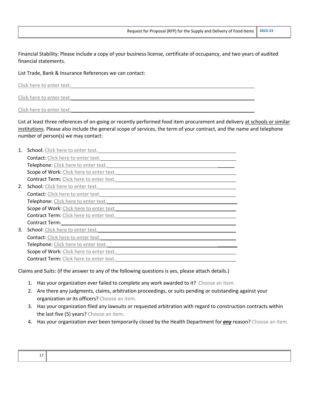Financial Stability: Please include a copy of your business license, certificate of occupancy, and two years of audited financial statements.

List Trade, Bank & Insurance References we can contact:

Click here to enter text.

List at least three references of on-going or recently performed food item procurement and delivery at schools or similar institutions. Please also include the general scope of services, the term of your contract, and the name and telephone number of person(s) we may contact:

| 1. | School: Click here to enter text.        |
|----|------------------------------------------|
|    | Contact: Click here to enter text.       |
|    | Telephone: Click here to enter text.     |
|    | Scope of Work: Click here to enter text. |
|    | Contract Term: Click here to enter text. |
| 2. | School: Click here to enter text.        |
|    | Contact: Click here to enter text.       |
|    | Telephone: Click here to enter text.     |
|    | Scope of Work: Click here to enter text. |
|    | Contract Term: Click here to enter text. |
|    | Contract Term:                           |
| 3. | School: Click here to enter text.        |
|    | Contact: Click here to enter text.       |
|    | Telephone: Click here to enter text.     |
|    | Scope of Work: Click here to enter text. |
|    | Contract Term: Click here to enter text. |
|    |                                          |

Claims and Suits: (if the answer to any of the following questions is yes, please attach details.)

- 1. Has your organization ever failed to complete any work awarded to it? Choose an item.
- 2. Are there any judgments, claims, arbitration proceedings, or suits pending or outstanding against your organization or its officers? Choose an item.
- 3. Has your organization filed any lawsuits or requested arbitration with regard to construction contracts within the last five (5) years? Choose an item.
- 4. Has your organization ever been temporarily closed by the Health Department for *any* reason? Choose an item.

| -- |  |  |
|----|--|--|
|    |  |  |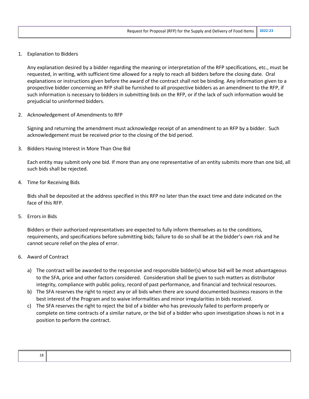1. Explanation to Bidders

Any explanation desired by a bidder regarding the meaning or interpretation of the RFP specifications, etc., must be requested, in writing, with sufficient time allowed for a reply to reach all bidders before the closing date. Oral explanations or instructions given before the award of the contract shall not be binding. Any information given to a prospective bidder concerning an RFP shall be furnished to all prospective bidders as an amendment to the RFP, if such information is necessary to bidders in submitting bids on the RFP, or if the lack of such information would be prejudicial to uninformed bidders.

2. Acknowledgement of Amendments to RFP

Signing and returning the amendment must acknowledge receipt of an amendment to an RFP by a bidder. Such acknowledgement must be received prior to the closing of the bid period.

3. Bidders Having Interest in More Than One Bid

Each entity may submit only one bid. If more than any one representative of an entity submits more than one bid, all such bids shall be rejected.

4. Time for Receiving Bids

Bids shall be deposited at the address specified in this RFP no later than the exact time and date indicated on the face of this RFP.

5. Errors in Bids

Bidders or their authorized representatives are expected to fully inform themselves as to the conditions, requirements, and specifications before submitting bids; failure to do so shall be at the bidder's own risk and he cannot secure relief on the plea of error.

- 6. Award of Contract
	- a) The contract will be awarded to the responsive and responsible bidder(s) whose bid will be most advantageous to the SFA, price and other factors considered. Consideration shall be given to such matters as distributor integrity, compliance with public policy, record of past performance, and financial and technical resources.
	- b) The SFA reserves the right to reject any or all bids when there are sound documented business reasons in the best interest of the Program and to waive informalities and minor irregularities in bids received.
	- c) The SFA reserves the right to reject the bid of a bidder who has previously failed to perform properly or complete on time contracts of a similar nature, or the bid of a bidder who upon investigation shows is not in a position to perform the contract.

| ۰. |              |
|----|--------------|
| ٠  | ï<br>M.<br>v |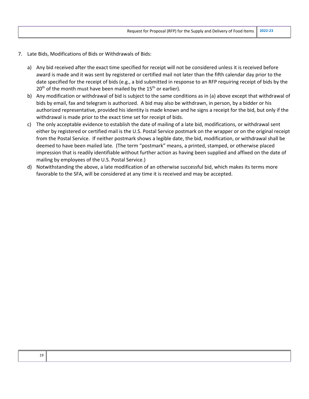- 7. Late Bids, Modifications of Bids or Withdrawals of Bids:
	- a) Any bid received after the exact time specified for receipt will not be considered unless it is received before award is made and it was sent by registered or certified mail not later than the fifth calendar day prior to the date specified for the receipt of bids (e.g., a bid submitted in response to an RFP requiring receipt of bids by the  $20<sup>th</sup>$  of the month must have been mailed by the 15<sup>th</sup> or earlier).
	- b) Any modification or withdrawal of bid is subject to the same conditions as in (a) above except that withdrawal of bids by email, fax and telegram is authorized. A bid may also be withdrawn, in person, by a bidder or his authorized representative, provided his identity is made known and he signs a receipt for the bid, but only if the withdrawal is made prior to the exact time set for receipt of bids.
	- c) The only acceptable evidence to establish the date of mailing of a late bid, modifications, or withdrawal sent either by registered or certified mail is the U.S. Postal Service postmark on the wrapper or on the original receipt from the Postal Service. If neither postmark shows a legible date, the bid, modification, or withdrawal shall be deemed to have been mailed late. (The term "postmark" means, a printed, stamped, or otherwise placed impression that is readily identifiable without further action as having been supplied and affixed on the date of mailing by employees of the U.S. Postal Service.)
	- d) Notwithstanding the above, a late modification of an otherwise successful bid, which makes its terms more favorable to the SFA, will be considered at any time it is received and may be accepted.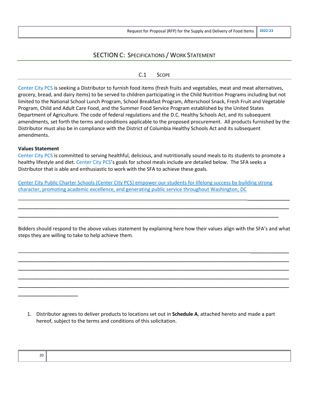## SECTION C: SPECIFICATIONS / WORK STATEMENT

#### C.1 SCOPE

Center City PCS is seeking a Distributor to furnish food items (fresh fruits and vegetables, meat and meat alternatives, grocery, bread, and dairy items) to be served to children participating in the Child Nutrition Programs including but not limited to the National School Lunch Program, School Breakfast Program, Afterschool Snack, Fresh Fruit and Vegetable Program, Child and Adult Care Food, and the Summer Food Service Program established by the United States Department of Agriculture. The code of federal regulations and the D.C. Healthy Schools Act, and its subsequent amendments, set forth the terms and conditions applicable to the proposed procurement. All products furnished by the Distributor must also be in compliance with the District of Columbia Healthy Schools Act and its subsequent amendments.

#### **Values Statement**

Center City PCS is committed to serving healthful, delicious, and nutritionally sound meals to its students to promote a healthy lifestyle and diet. Center City PCS's goals for school meals include are detailed below. The SFA seeks a Distributor that is able and enthusiastic to work with the SFA to achieve these goals.

Center City Public Charter Schools (Center City PCS) empower our students for lifelong success by building strong character, promoting academic excellence, and generating public service throughout Washington, DC

Bidders should respond to the above values statement by explaining here how their values align with the SFA's and what steps they are willing to take to help achieve them.

\_\_\_\_\_\_\_\_\_\_\_\_\_\_\_\_\_\_\_\_\_\_\_\_\_\_\_\_\_\_\_\_\_\_\_\_\_\_\_\_\_\_\_\_\_\_\_\_\_\_\_\_\_\_\_\_\_\_\_\_\_\_\_\_\_\_\_\_\_\_\_\_\_\_\_\_\_\_\_\_\_\_\_\_\_\_\_\_\_\_\_\_\_\_\_ \_\_\_\_\_\_\_\_\_\_\_\_\_\_\_\_\_\_\_\_\_\_\_\_\_\_\_\_\_\_\_\_\_\_\_\_\_\_\_\_\_\_\_\_\_\_\_\_\_\_\_\_\_\_\_\_\_\_\_\_\_\_\_\_\_\_\_\_\_\_\_\_\_\_\_\_\_ \_\_\_\_\_\_\_\_\_\_\_\_\_\_\_\_\_\_\_\_\_\_\_\_\_\_\_\_\_\_\_\_\_\_\_\_\_\_\_\_\_\_\_\_\_\_\_\_\_\_\_\_\_\_\_\_\_\_\_\_\_\_\_\_\_\_\_\_\_\_\_\_\_\_\_\_\_ \_\_\_\_\_\_\_\_\_\_\_\_\_\_\_\_\_\_\_\_\_\_\_\_\_\_\_\_\_\_\_\_\_\_\_\_\_\_\_\_\_\_\_\_\_\_\_\_\_\_\_\_\_\_\_\_\_\_\_\_\_\_\_\_\_\_\_\_\_\_\_\_\_\_\_\_\_ \_\_\_\_\_\_\_\_\_\_\_\_\_\_\_\_\_\_\_\_\_\_\_\_\_\_\_\_\_\_\_\_\_\_\_\_\_\_\_\_\_\_\_\_\_\_\_\_\_\_\_\_\_\_\_\_\_\_\_\_\_\_\_\_\_\_\_\_\_\_\_\_\_\_\_\_\_

\_\_\_\_\_\_\_\_\_\_\_\_\_\_\_\_\_\_\_\_\_\_\_\_\_\_\_\_\_\_\_\_\_\_\_\_\_\_\_\_\_\_\_\_\_\_\_\_\_\_\_\_\_\_\_\_\_\_\_\_\_\_\_\_\_\_\_\_\_\_\_\_\_\_\_\_\_\_\_\_\_\_\_\_\_\_\_\_\_\_\_\_\_\_\_ \_\_\_\_\_\_\_\_\_\_\_\_\_\_\_\_\_\_\_\_\_\_\_\_\_\_\_\_\_\_\_\_\_\_\_\_\_\_\_\_\_\_\_\_\_\_\_\_\_\_\_\_\_\_\_\_\_\_\_\_\_\_\_\_\_\_\_\_\_\_\_\_\_\_\_\_\_ \_\_\_\_\_\_\_\_\_\_\_\_\_\_\_\_\_\_\_\_\_\_\_\_\_\_\_\_\_\_\_\_\_\_\_\_\_\_\_\_\_\_\_\_\_\_\_\_\_\_\_\_\_\_\_\_\_\_\_\_\_\_\_\_\_\_\_\_\_\_\_\_\_\_

1. Distributor agrees to deliver products to locations set out in **Schedule A**, attached hereto and made a part hereof, subject to the terms and conditions of this solicitation.

| ۰.<br>×.<br>۰, | I<br>$\sim$ |
|----------------|-------------|
|                |             |

\_\_\_\_\_\_\_\_\_\_\_\_\_\_\_\_\_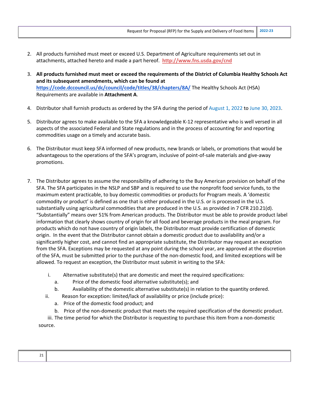- 2. All products furnished must meet or exceed U.S. Department of Agriculture requirements set out in attachments, attached hereto and made a part hereof. **http://www.fns.usda.gov/cnd**
- 3. **All products furnished must meet or exceed the requirements of the District of Columbia Healthy Schools Act and its subsequent amendments, which can be found at https://code.dccouncil.us/dc/council/code/titles/38/chapters/8A/** The Healthy Schools Act (HSA) Requirements are available in **Attachment A**.
- 4. Distributor shall furnish products as ordered by the SFA during the period of August 1, 2022 to June 30, 2023.
- 5. Distributor agrees to make available to the SFA a knowledgeable K-12 representative who is well versed in all aspects of the associated Federal and State regulations and in the process of accounting for and reporting commodities usage on a timely and accurate basis.
- 6. The Distributor must keep SFA informed of new products, new brands or labels, or promotions that would be advantageous to the operations of the SFA's program, inclusive of point-of-sale materials and give-away promotions.
- 7. The Distributor agrees to assume the responsibility of adhering to the Buy American provision on behalf of the SFA. The SFA participates in the NSLP and SBP and is required to use the nonprofit food service funds, to the maximum extent practicable, to buy domestic commodities or products for Program meals. A 'domestic commodity or product' is defined as one that is either produced in the U.S. or is processed in the U.S. substantially using agricultural commodities that are produced in the U.S. as provided in 7 CFR 210.21(d). "Substantially" means over 51% from American products. The Distributor must be able to provide product label information that clearly shows country of origin for all food and beverage products in the meal program. For products which do not have country of origin labels, the Distributor must provide certification of domestic origin. In the event that the Distributor cannot obtain a domestic product due to availability and/or a significantly higher cost, and cannot find an appropriate substitute, the Distributor may request an exception from the SFA. Exceptions may be requested at any point during the school year, are approved at the discretion of the SFA, must be submitted prior to the purchase of the non-domestic food, and limited exceptions will be allowed. To request an exception, the Distributor must submit in writing to the SFA:
	- i. Alternative substitute(s) that are domestic and meet the required specifications:
		- a. Price of the domestic food alternative substitute(s); and
		- b. Availability of the domestic alternative substitute(s) in relation to the quantity ordered.
	- ii. Reason for exception: limited/lack of availability or price (include price):
		- a. Price of the domestic food product; and
		- b. Price of the non-domestic product that meets the required specification of the domestic product.

iii. The time period for which the Distributor is requesting to purchase this item from a non-domestic source.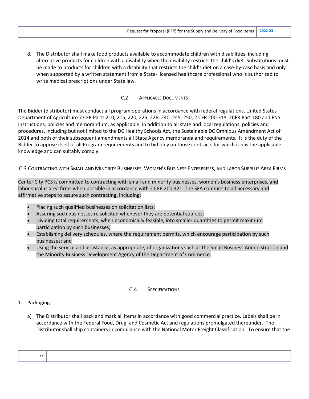8. The Distributor shall make food products available to accommodate children with disabilities, including alternative products for children with a disability when the disability restricts the child's diet. Substitutions must be made to products for children with a disability that restricts the child's diet on a case-by-case basis and only when supported by a written statement from a State- licensed healthcare professional who is authorized to write medical prescriptions under State law.

#### C.2 APPLICABLE DOCUMENTS

The Bidder (distributor) must conduct all program operations in accordance with federal regulations, United States Department of Agriculture 7 CFR Parts 210, 215, 220, 225, 226, 240, 245, 250, 2 CFR 200.318, 2CFR Part 180 and FNS instructions, policies and memorandum, as applicable, in addition to all state and local regulations, policies and procedures, including but not limited to the DC Healthy Schools Act, the Sustainable DC Omnibus Amendment Act of 2014 and both of their subsequent amendments all State Agency memoranda and requirements. It is the duty of the Bidder to apprise itself of all Program requirements and to bid only on those contracts for which it has the applicable knowledge and can suitably comply.

#### C.3 CONTRACTING WITH SMALL AND MINORITY BUSINESSES, WOMEN'S BUSINESS ENTERPRISES, AND LABOR SURPLUS AREA FIRMS

Center City PCS is committed to contracting with small and minority businesses, women's business enterprises, and labor surplus area firms when possible in accordance with 2 CFR 200.321. The SFA commits to all necessary and affirmative steps to assure such contracting, including:

- Placing such qualified businesses on solicitation lists;
- Assuring such businesses re solicited whenever they are potential sources;
- Dividing total requirements, when economically feasible, into smaller quantities to permit maximum participation by such businesses;
- Establishing delivery schedules, where the requirement permits, which encourage participation by such businesses; and
- Using the service and assistance, as appropriate, of organizations such as the Small Business Administration and the Minority Business Development Agency of the Department of Commerce.

#### C.4 SPECIFICATIONS

## 1. Packaging:

a) The Distributor shall pack and mark all items in accordance with good commercial practice. Labels shall be in accordance with the Federal Food, Drug, and Cosmetic Act and regulations promulgated thereunder. The Distributor shall ship containers in compliance with the National Motor Freight Classification. To ensure that the

| - -<br>-- |  |
|-----------|--|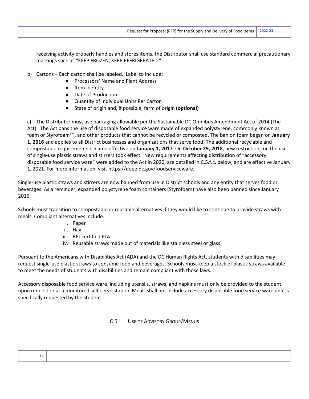receiving activity properly handles and stores items, the Distributor shall use standard commercial precautionary markings such as "KEEP FROZEN, KEEP REFRIGERATED."

- b) Cartons Each carton shall be labeled. Label to include:
	- Processors' Name and Plant Address
	- Item Identity
	- Date of Production
	- Quantity of Individual Units Per Carton
	- State of origin and, if possible, farm of origin **(optional)**

c) The Distributor must use packaging allowable per the Sustainable DC Omnibus Amendment Act of 2014 (The Act). The Act bans the use of disposable food service ware made of expanded polystyrene, commonly known as foam or StyrofoamTM, and other products that cannot be recycled or composted. The ban on foam began on **January 1, 2016** and applies to all District businesses and organizations that serve food. The additional recyclable and compostable requirements became effective on **January 1, 2017**. On **October 29, 2018**, new restrictions on the use of single-use plastic straws and stirrers took effect. New requirements affecting distribution of "accessory disposable food service ware" were added to the Act in 2020, are detailed in C.5.f.c. below, and are effective January 1, 2021. For more information, visit https://doee.dc.gov/foodserviceware.

Single-use plastic straws and stirrers are now banned from use in District schools and any entity that serves food or beverages. As a reminder, expanded polystyrene foam containers (Styrofoam) have also been banned since January 2016.

Schools must transition to compostable or reusable alternatives if they would like to continue to provide straws with meals. Compliant alternatives include:

- i. Paper
- ii. Hay
- iii. BPI-certified PLA
- iv. Reusable straws made out of materials like stainless steel or glass.

Pursuant to the Americans with Disabilities Act (ADA) and the DC Human Rights Act, students with disabilities may request single-use plastic straws to consume food and beverages. Schools must keep a stock of plastic straws available to meet the needs of students with disabilities and remain compliant with those laws.

Accessory disposable food service ware, including utensils, straws, and napkins must only be provided to the student upon request or at a monitored self-serve station. Meals shall not include accessory disposable food service ware unless specifically requested by the student.

## C.5 USE OF ADVISORY GROUP/MENUS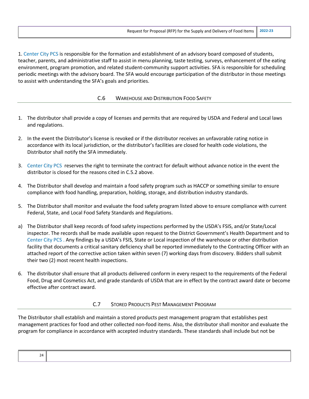1. Center City PCS is responsible for the formation and establishment of an advisory board composed of students, teacher, parents, and administrative staff to assist in menu planning, taste testing, surveys, enhancement of the eating environment, program promotion, and related student-community support activities. SFA is responsible for scheduling periodic meetings with the advisory board. The SFA would encourage participation of the distributor in those meetings to assist with understanding the SFA's goals and priorities.

#### C.6 WAREHOUSE AND DISTRIBUTION FOOD SAFETY

- 1. The distributor shall provide a copy of licenses and permits that are required by USDA and Federal and Local laws and regulations.
- 2. In the event the Distributor's license is revoked or if the distributor receives an unfavorable rating notice in accordance with its local jurisdiction, or the distributor's facilities are closed for health code violations, the Distributor shall notify the SFA immediately.
- 3. Center City PCS reserves the right to terminate the contract for default without advance notice in the event the distributor is closed for the reasons cited in C.5.2 above.
- 4. The Distributor shall develop and maintain a food safety program such as HACCP or something similar to ensure compliance with food handling, preparation, holding, storage, and distribution industry standards.
- 5. The Distributor shall monitor and evaluate the food safety program listed above to ensure compliance with current Federal, State, and Local Food Safety Standards and Regulations.
- a) The Distributor shall keep records of food safety inspections performed by the USDA's FSIS, and/or State/Local inspector. The records shall be made available upon request to the District Government's Health Department and to Center City PCS . Any findings by a USDA's FSIS, State or Local inspection of the warehouse or other distribution facility that documents a critical sanitary deficiency shall be reported immediately to the Contracting Officer with an attached report of the corrective action taken within seven (7) working days from discovery. Bidders shall submit their two (2) most recent health inspections.
- 6. The distributor shall ensure that all products delivered conform in every respect to the requirements of the Federal Food, Drug and Cosmetics Act, and grade standards of USDA that are in effect by the contract award date or become effective after contract award.

#### C.7 STORED PRODUCTS PEST MANAGEMENT PROGRAM

The Distributor shall establish and maintain a stored products pest management program that establishes pest management practices for food and other collected non-food items. Also, the distributor shall monitor and evaluate the program for compliance in accordance with accepted industry standards. These standards shall include but not be

| - |  |
|---|--|
|   |  |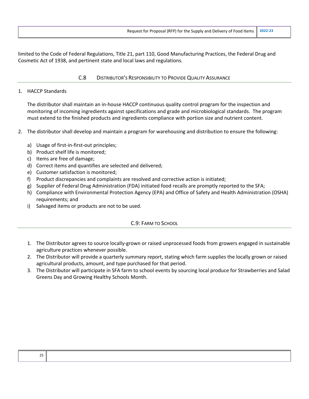limited to the Code of Federal Regulations, Title 21, part 110, Good Manufacturing Practices, the Federal Drug and Cosmetic Act of 1938, and pertinent state and local laws and regulations.

#### C.8 DISTRIBUTOR'S RESPONSIBILITY TO PROVIDE QUALITY ASSURANCE

#### 1. HACCP Standards

The distributor shall maintain an in-house HACCP continuous quality control program for the inspection and monitoring of incoming ingredients against specifications and grade and microbiological standards. The program must extend to the finished products and ingredients compliance with portion size and nutrient content.

- 2. The distributor shall develop and maintain a program for warehousing and distribution to ensure the following:
	- a) Usage of first-in-first-out principles;
	- b) Product shelf life is monitored;
	- c) Items are free of damage;
	- d) Correct items and quantifies are selected and delivered;
	- e) Customer satisfaction is monitored;
	- f) Product discrepancies and complaints are resolved and corrective action is initiated;
	- g) Supplier of Federal Drug Administration (FDA) initiated food recalls are promptly reported to the SFA;
	- h) Compliance with Environmental Protection Agency (EPA) and Office of Safety and Health Administration (OSHA) requirements; and
	- i) Salvaged items or products are not to be used.

## C.9: FARM TO SCHOOL

- 1. The Distributor agrees to source locally-grown or raised unprocessed foods from growers engaged in sustainable agriculture practices whenever possible.
- 2. The Distributor will provide a quarterly summary report, stating which farm supplies the locally grown or raised agricultural products, amount, and type purchased for that period.
- 3. The Distributor will participate in SFA farm to school events by sourcing local produce for Strawberries and Salad Greens Day and Growing Healthy Schools Month.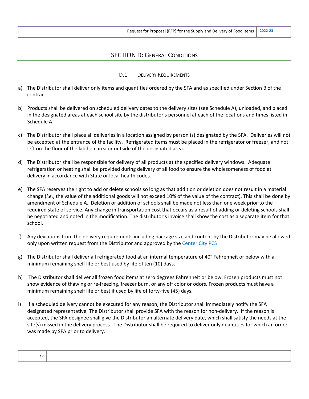## SECTION D: GENERAL CONDITIONS

#### D.1 DELIVERY REQUIREMENTS

- a) The Distributor shall deliver only items and quantities ordered by the SFA and as specified under Section B of the contract.
- b) Products shall be delivered on scheduled delivery dates to the delivery sites (see Schedule A), unloaded, and placed in the designated areas at each school site by the distributor's personnel at each of the locations and times listed in Schedule A.
- c) The Distributor shall place all deliveries in a location assigned by person (s) designated by the SFA. Deliveries will not be accepted at the entrance of the facility. Refrigerated items must be placed in the refrigerator or freezer, and not left on the floor of the kitchen area or outside of the designated area.
- d) The Distributor shall be responsible for delivery of all products at the specified delivery windows. Adequate refrigeration or heating shall be provided during delivery of all food to ensure the wholesomeness of food at delivery in accordance with State or local health codes.
- e) The SFA reserves the right to add or delete schools so long as that addition or deletion does not result in a material change (*i.e.*, the value of the additional goods will not exceed 10% of the value of the contract). This shall be done by amendment of Schedule A. Deletion or addition of schools shall be made not less than one week prior to the required state of service. Any change in transportation cost that occurs as a result of adding or deleting schools shall be negotiated and noted in the modification. The distributor's invoice shall show the cost as a separate item for that school.
- f) Any deviations from the delivery requirements including package size and content by the Distributor may be allowed only upon written request from the Distributor and approved by the Center City PCS
- g) The Distributor shall deliver all refrigerated food at an internal temperature of 40° Fahrenheit or below with a minimum remaining shelf life or best used by life of ten (10) days.
- h) The Distributor shall deliver all frozen food items at zero degrees Fahrenheit or below. Frozen products must not show evidence of thawing or re-freezing, freezer burn, or any off color or odors. Frozen products must have a minimum remaining shelf life or best if used by life of forty-five (45) days.
- i) If a scheduled delivery cannot be executed for any reason, the Distributor shall immediately notify the SFA designated representative. The Distributor shall provide SFA with the reason for non-delivery. If the reason is accepted, the SFA designee shall give the Distributor an alternate delivery date, which shall satisfy the needs at the site(s) missed in the delivery process. The Distributor shall be required to deliver only quantities for which an order was made by SFA prior to delivery.

| <b>-</b><br>∠∪<br>__ |  |
|----------------------|--|
|                      |  |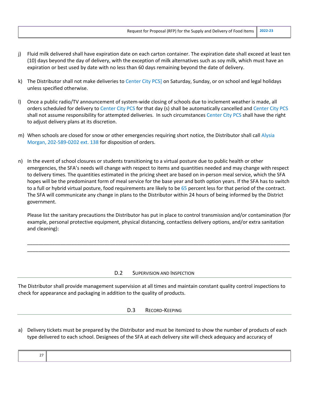- j) Fluid milk delivered shall have expiration date on each carton container. The expiration date shall exceed at least ten (10) days beyond the day of delivery, with the exception of milk alternatives such as soy milk, which must have an expiration or best used by date with no less than 60 days remaining beyond the date of delivery.
- k) The Distributor shall not make deliveries to Center City PCS] on Saturday, Sunday, or on school and legal holidays unless specified otherwise.
- l) Once a public radio/TV announcement of system-wide closing of schools due to inclement weather is made, all orders scheduled for delivery to Center City PCS for that day (s) shall be automatically cancelled and Center City PCS shall not assume responsibility for attempted deliveries. In such circumstances Center City PCS shall have the right to adjust delivery plans at its discretion.
- m) When schools are closed for snow or other emergencies requiring short notice, the Distributor shall call Alysia Morgan, 202-589-0202 ext. 138 for disposition of orders.
- n) In the event of school closures or students transitioning to a virtual posture due to public health or other emergencies, the SFA's needs will change with respect to items and quantities needed and may change with respect to delivery times. The quantities estimated in the pricing sheet are based on in-person meal service, which the SFA hopes will be the predominant form of meal service for the base year and both option years. If the SFA has to switch to a full or hybrid virtual posture, food requirements are likely to be 65 percent less for that period of the contract. The SFA will communicate any change in plans to the Distributor within 24 hours of being informed by the District government.

Please list the sanitary precautions the Distributor has put in place to control transmission and/or contamination (for example, personal protective equipment, physical distancing, contactless delivery options, and/or extra sanitation and cleaning):

\_\_\_\_\_\_\_\_\_\_\_\_\_\_\_\_\_\_\_\_\_\_\_\_\_\_\_\_\_\_\_\_\_\_\_\_\_\_\_\_\_\_\_\_\_\_\_\_\_\_\_\_\_\_\_\_\_\_\_\_\_\_\_\_\_\_\_\_\_\_\_\_\_\_\_\_\_\_\_\_\_\_\_\_\_\_\_\_\_\_\_\_\_\_\_ \_\_\_\_\_\_\_\_\_\_\_\_\_\_\_\_\_\_\_\_\_\_\_\_\_\_\_\_\_\_\_\_\_\_\_\_\_\_\_\_\_\_\_\_\_\_\_\_\_\_\_\_\_\_\_\_\_\_\_\_\_\_\_\_\_\_\_\_\_\_\_\_\_\_\_\_\_\_\_\_\_\_\_\_\_\_\_\_\_\_\_\_\_\_\_

#### D.2 SUPERVISION AND INSPECTION

The Distributor shall provide management supervision at all times and maintain constant quality control inspections to check for appearance and packaging in addition to the quality of products.

- D.3 RECORD-KEEPING
- a) Delivery tickets must be prepared by the Distributor and must be itemized to show the number of products of each type delivered to each school. Designees of the SFA at each delivery site will check adequacy and accuracy of

|--|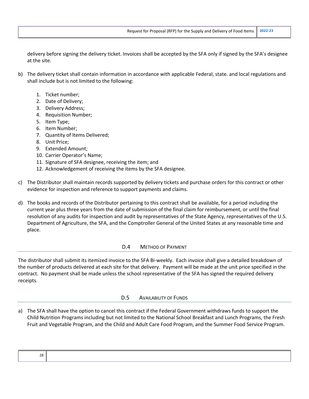delivery before signing the delivery ticket. Invoices shall be accepted by the SFA only if signed by the SFA's designee at the site.

- b) The delivery ticket shall contain information in accordance with applicable Federal, state. and local regulations and shall include but is not limited to the following:
	- 1. Ticket number;
	- 2. Date of Delivery;
	- 3. Delivery Address;
	- 4. Requisition Number;
	- 5. Item Type;
	- 6. Item Number;
	- 7. Quantity of Items Delivered;
	- 8. Unit Price;
	- 9. Extended Amount;
	- 10. Carrier Operator's Name;
	- 11. Signature of SFA designee, receiving the item; and
	- 12. Acknowledgement of receiving the items by the SFA designee.
- c) The Distributor shall maintain records supported by delivery tickets and purchase orders for this contract or other evidence for inspection and reference to support payments and claims.
- d) The books and records of the Distributor pertaining to this contract shall be available, for a period including the current year plus three years from the date of submission of the final claim for reimbursement, or until the final resolution of any audits for inspection and audit by representatives of the State Agency, representatives of the U.S. Department of Agriculture, the SFA, and the Comptroller General of the United States at any reasonable time and place.

#### D.4 METHOD OF PAYMENT

The distributor shall submit its itemized invoice to the SFA Bi-weekly. Each invoice shall give a detailed breakdown of the number of products delivered at each site for that delivery. Payment will be made at the unit price specified in the contract. No payment shall be made unless the school representative of the SFA has signed the required delivery receipts.

#### D.5 AVAILABILITY OF FUNDS

a) The SFA shall have the option to cancel this contract if the Federal Government withdraws funds to support the Child Nutrition Programs including but not limited to the National School Breakfast and Lunch Programs, the Fresh Fruit and Vegetable Program, and the Child and Adult Care Food Program, and the Summer Food Service Program.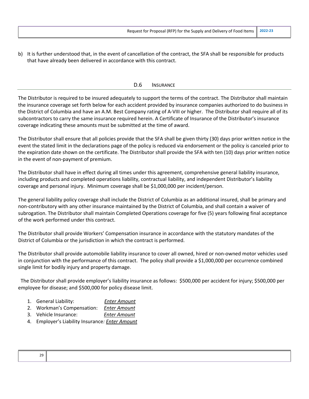b) It is further understood that, in the event of cancellation of the contract, the SFA shall be responsible for products that have already been delivered in accordance with this contract.

#### D.6 INSURANCE

The Distributor is required to be insured adequately to support the terms of the contract. The Distributor shall maintain the insurance coverage set forth below for each accident provided by insurance companies authorized to do business in the District of Columbia and have an A.M. Best Company rating of A-VIII or higher. The Distributor shall require all of its subcontractors to carry the same insurance required herein. A Certificate of Insurance of the Distributor's insurance coverage indicating these amounts must be submitted at the time of award.

The Distributor shall ensure that all policies provide that the SFA shall be given thirty (30) days prior written notice in the event the stated limit in the declarations page of the policy is reduced via endorsement or the policy is canceled prior to the expiration date shown on the certificate. The Distributor shall provide the SFA with ten (10) days prior written notice in the event of non-payment of premium.

The Distributor shall have in effect during all times under this agreement, comprehensive general liability insurance, including products and completed operations liability, contractual liability, and independent Distributor's liability coverage and personal injury. Minimum coverage shall be \$1,000,000 per incident/person.

The general liability policy coverage shall include the District of Columbia as an additional insured, shall be primary and non-contributory with any other insurance maintained by the District of Columbia, and shall contain a waiver of subrogation. The Distributor shall maintain Completed Operations coverage for five (5) years following final acceptance of the work performed under this contract.

The Distributor shall provide Workers' Compensation insurance in accordance with the statutory mandates of the District of Columbia or the jurisdiction in which the contract is performed.

The Distributor shall provide automobile liability insurance to cover all owned, hired or non-owned motor vehicles used in conjunction with the performance of this contract. The policy shall provide a \$1,000,000 per occurrence combined single limit for bodily injury and property damage.

 The Distributor shall provide employer's liability insurance as follows: \$500,000 per accident for injury; \$500,000 per employee for disease; and \$500,000 for policy disease limit.

- 1. General Liability: *Enter Amount*
- 2. Workman's Compensation: *Enter Amount*
- 3. Vehicle Insurance: *Enter Amount*
- 4. Employer's Liability Insurance*: Enter Amount*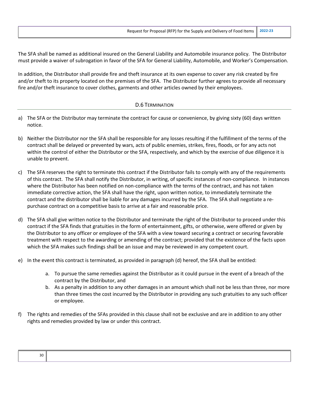The SFA shall be named as additional insured on the General Liability and Automobile insurance policy. The Distributor must provide a waiver of subrogation in favor of the SFA for General Liability, Automobile, and Worker's Compensation.

In addition, the Distributor shall provide fire and theft insurance at its own expense to cover any risk created by fire and/or theft to its property located on the premises of the SFA. The Distributor further agrees to provide all necessary fire and/or theft insurance to cover clothes, garments and other articles owned by their employees.

#### D.6 TERMINATION

- a) The SFA or the Distributor may terminate the contract for cause or convenience, by giving sixty (60) days written notice.
- b) Neither the Distributor nor the SFA shall be responsible for any losses resulting if the fulfillment of the terms of the contract shall be delayed or prevented by wars, acts of public enemies, strikes, fires, floods, or for any acts not within the control of either the Distributor or the SFA, respectively, and which by the exercise of due diligence it is unable to prevent.
- c) The SFA reserves the right to terminate this contract if the Distributor fails to comply with any of the requirements of this contract. The SFA shall notify the Distributor, in writing, of specific instances of non-compliance. In instances where the Distributor has been notified on non-compliance with the terms of the contract, and has not taken immediate corrective action, the SFA shall have the right, upon written notice, to immediately terminate the contract and the distributor shall be liable for any damages incurred by the SFA. The SFA shall negotiate a repurchase contract on a competitive basis to arrive at a fair and reasonable price.
- d) The SFA shall give written notice to the Distributor and terminate the right of the Distributor to proceed under this contract if the SFA finds that gratuities in the form of entertainment, gifts, or otherwise, were offered or given by the Distributor to any officer or employee of the SFA with a view toward securing a contract or securing favorable treatment with respect to the awarding or amending of the contract; provided that the existence of the facts upon which the SFA makes such findings shall be an issue and may be reviewed in any competent court.
- e) In the event this contract is terminated, as provided in paragraph (d) hereof, the SFA shall be entitled:
	- a. To pursue the same remedies against the Distributor as it could pursue in the event of a breach of the contract by the Distributor, and
	- b. As a penalty in addition to any other damages in an amount which shall not be less than three, nor more than three times the cost incurred by the Distributor in providing any such gratuities to any such officer or employee.
- f) The rights and remedies of the SFAs provided in this clause shall not be exclusive and are in addition to any other rights and remedies provided by law or under this contract.

| 30 |  |  |  |
|----|--|--|--|
|    |  |  |  |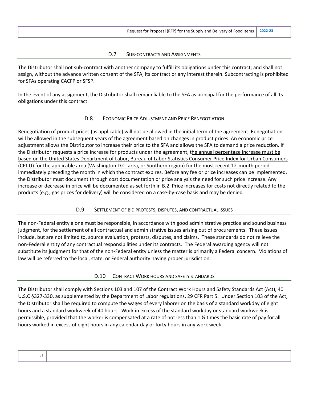#### D.7 SUB-CONTRACTS AND ASSIGNMENTS

The Distributor shall not sub-contract with another company to fulfill its obligations under this contract; and shall not assign, without the advance written consent of the SFA, its contract or any interest therein. Subcontracting is prohibited for SFAs operating CACFP or SFSP.

In the event of any assignment, the Distributor shall remain liable to the SFA as principal for the performance of all its obligations under this contract.

#### D.8 ECONOMIC PRICE ADJUSTMENT AND PRICE RENEGOTIATION

Renegotiation of product prices (as applicable) will not be allowed in the initial term of the agreement. Renegotiation will be allowed in the subsequent years of the agreement based on changes in product prices. An economic price adjustment allows the Distributor to increase their price to the SFA and allows the SFA to demand a price reduction. If the Distributor requests a price increase for products under the agreement, the annual percentage increase must be based on the United States Department of Labor, Bureau of Labor Statistics Consumer Price Index for Urban Consumers (CPI-U) for the applicable area (Washington D.C. area, or Southern region) for the most recent 12-month period immediately preceding the month in which the contract expires. Before any fee or price increases can be implemented, the Distributor must document through cost documentation or price analysis the need for such price increase. Any increase or decrease in price will be documented as set forth in B.2. Price increases for costs not directly related to the products (e.g., gas prices for delivery) will be considered on a case-by-case basis and may be denied.

## D.9 SETTLEMENT OF BID PROTESTS, DISPUTES, AND CONTRACTUAL ISSUES

The non-Federal entity alone must be responsible, in accordance with good administrative practice and sound business judgment, for the settlement of all contractual and administrative issues arising out of procurements. These issues include, but are not limited to, source evaluation, protests, disputes, and claims. These standards do not relieve the non-Federal entity of any contractual responsibilities under its contracts. The Federal awarding agency will not substitute its judgment for that of the non-Federal entity unless the matter is primarily a Federal concern. Violations of law will be referred to the local, state, or Federal authority having proper jurisdiction.

#### D.10 CONTRACT WORK HOURS AND SAFETY STANDARDS

The Distributor shall comply with Sections 103 and 107 of the Contract Work Hours and Safety Standards Act (Act), 40 U.S.C §327-330, as supplemented by the Department of Labor regulations, 29 CFR Part 5. Under Section 103 of the Act, the Distributor shall be required to compute the wages of every laborer on the basis of a standard workday of eight hours and a standard workweek of 40 hours. Work in excess of the standard workday or standard workweek is permissible, provided that the worker is compensated at a rate of not less than 1 ½ times the basic rate of pay for all hours worked in excess of eight hours in any calendar day or forty hours in any work week.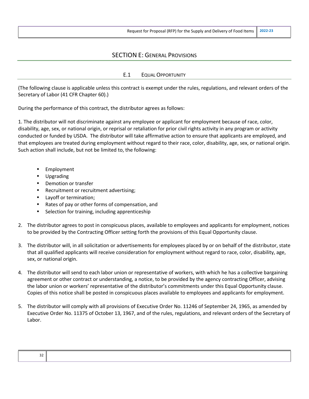## SECTION E: GENERAL PROVISIONS

## E.1 EQUAL OPPORTUNITY

(The following clause is applicable unless this contract is exempt under the rules, regulations, and relevant orders of the Secretary of Labor (41 CFR Chapter 60).)

During the performance of this contract, the distributor agrees as follows:

1. The distributor will not discriminate against any employee or applicant for employment because of race, color, disability, age, sex, or national origin, or reprisal or retaliation for prior civil rights activity in any program or activity conducted or funded by USDA. The distributor will take affirmative action to ensure that applicants are employed, and that employees are treated during employment without regard to their race, color, disability, age, sex, or national origin. Such action shall include, but not be limited to, the following:

- **Employment**
- Upgrading
- Demotion or transfer
- Recruitment or recruitment advertising;
- Layoff or termination;
- Rates of pay or other forms of compensation, and
- Selection for training, including apprenticeship
- 2. The distributor agrees to post in conspicuous places, available to employees and applicants for employment, notices to be provided by the Contracting Officer setting forth the provisions of this Equal Opportunity clause.
- 3. The distributor will, in all solicitation or advertisements for employees placed by or on behalf of the distributor, state that all qualified applicants will receive consideration for employment without regard to race, color, disability, age, sex, or national origin.
- 4. The distributor will send to each labor union or representative of workers, with which he has a collective bargaining agreement or other contract or understanding, a notice, to be provided by the agency contracting Officer, advising the labor union or workers' representative of the distributor's commitments under this Equal Opportunity clause. Copies of this notice shall be posted in conspicuous places available to employees and applicants for employment.
- 5. The distributor will comply with all provisions of Executive Order No. 11246 of September 24, 1965, as amended by Executive Order No. 11375 of October 13, 1967, and of the rules, regulations, and relevant orders of the Secretary of Labor.

| -- |  |
|----|--|
|    |  |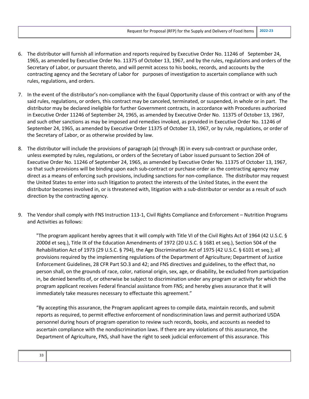- 6. The distributor will furnish all information and reports required by Executive Order No. 11246 of September 24, 1965, as amended by Executive Order No. 11375 of October 13, 1967, and by the rules, regulations and orders of the Secretary of Labor, or pursuant thereto, and will permit access to his books, records, and accounts by the contracting agency and the Secretary of Labor for purposes of investigation to ascertain compliance with such rules, regulations, and orders.
- 7. In the event of the distributor's non-compliance with the Equal Opportunity clause of this contract or with any of the said rules, regulations, or orders, this contract may be canceled, terminated, or suspended, in whole or in part. The distributor may be declared ineligible for further Government contracts, in accordance with Procedures authorized in Executive Order 11246 of September 24, 1965, as amended by Executive Order No. 11375 of October 13, 1967, and such other sanctions as may be imposed and remedies invoked, as provided in Executive Order No. 11246 of September 24, 1965, as amended by Executive Order 11375 of October 13, 1967, or by rule, regulations, or order of the Secretary of Labor, or as otherwise provided by law.
- 8. The distributor will include the provisions of paragraph (a) through (8) in every sub-contract or purchase order, unless exempted by rules, regulations, or orders of the Secretary of Labor issued pursuant to Section 204 of Executive Order No. 11246 of September 24, 1965, as amended by Executive Order No. 11375 of October 13, 1967, so that such provisions will be binding upon each sub-contract or purchase order as the contracting agency may direct as a means of enforcing such provisions, including sanctions for non-compliance. The distributor may request the United States to enter into such litigation to protect the interests of the United States, in the event the distributor becomes involved in, or is threatened with, litigation with a sub-distributor or vendor as a result of such direction by the contracting agency.
- 9. The Vendor shall comply with FNS Instruction 113-1, Civil Rights Compliance and Enforcement Nutrition Programs and Activities as follows:

"The program applicant hereby agrees that it will comply with Title VI of the Civil Rights Act of 1964 (42 U.S.C. § 2000d et seq.), Title IX of the Education Amendments of 1972 (20 U.S.C. § 1681 et seq.), Section 504 of the Rehabilitation Act of 1973 (29 U.S.C. § 794), the Age Discrimination Act of 1975 (42 U.S.C. § 6101 et seq.); all provisions required by the implementing regulations of the Department of Agriculture; Department of Justice Enforcement Guidelines, 28 CFR Part SO.3 and 42; and FNS directives and guidelines, to the effect that, no person shall, on the grounds of race, color, national origin, sex, age, or disability, be excluded from participation in, be denied benefits of, or otherwise be subject to discrimination under any program or activity for which the program applicant receives Federal financial assistance from FNS; and hereby gives assurance that it will immediately take measures necessary to effectuate this agreement."

"By accepting this assurance, the Program applicant agrees to compile data, maintain records, and submit reports as required, to permit effective enforcement of nondiscrimination laws and permit authorized USDA personnel during hours of program operation to review such records, books, and accounts as needed to ascertain compliance with the nondiscrimination laws. If there are any violations of this assurance, the Department of Agriculture, FNS, shall have the right to seek judicial enforcement of this assurance. This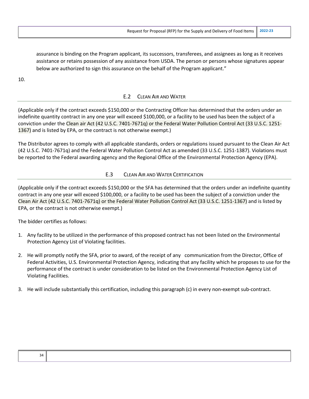assurance is binding on the Program applicant, its successors, transferees, and assignees as long as it receives assistance or retains possession of any assistance from USDA. The person or persons whose signatures appear below are authorized to sign this assurance on the behalf of the Program applicant."

10.

## E.2 CLEAN AIR AND WATER

(Applicable only if the contract exceeds \$150,000 or the Contracting Officer has determined that the orders under an indefinite quantity contract in any one year will exceed \$100,000, or a facility to be used has been the subject of a conviction under the Clean air Act (42 U.S.C. 7401-7671q) or the Federal Water Pollution Control Act (33 U.S.C. 1251- 1367) and is listed by EPA, or the contract is not otherwise exempt.)

The Distributor agrees to comply with all applicable standards, orders or regulations issued pursuant to the Clean Air Act (42 U.S.C. 7401-7671q) and the Federal Water Pollution Control Act as amended (33 U.S.C. 1251-1387). Violations must be reported to the Federal awarding agency and the Regional Office of the Environmental Protection Agency (EPA).

## E.3 CLEAN AIR AND WATER CERTIFICATION

(Applicable only if the contract exceeds \$150,000 or the SFA has determined that the orders under an indefinite quantity contract in any one year will exceed \$100,000, or a facility to be used has been the subject of a conviction under the Clean Air Act (42 U.S.C. 7401-7671q) or the Federal Water Pollution Control Act (33 U.S.C. 1251-1367) and is listed by EPA, or the contract is not otherwise exempt.)

The bidder certifies as follows:

- 1. Any facility to be utilized in the performance of this proposed contract has not been listed on the Environmental Protection Agency List of Violating facilities.
- 2. He will promptly notify the SFA, prior to award, of the receipt of any communication from the Director, Office of Federal Activities, U.S. Environmental Protection Agency, indicating that any facility which he proposes to use for the performance of the contract is under consideration to be listed on the Environmental Protection Agency List of Violating Facilities.
- 3. He will include substantially this certification, including this paragraph (c) in every non-exempt sub-contract.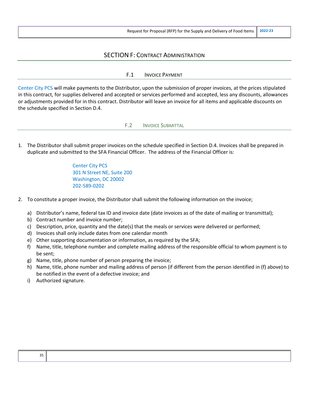## SECTION F: CONTRACT ADMINISTRATION

#### F.1 INVOICE PAYMENT

Center City PCS will make payments to the Distributor, upon the submission of proper invoices, at the prices stipulated in this contract, for supplies delivered and accepted or services performed and accepted, less any discounts, allowances or adjustments provided for in this contract. Distributor will leave an invoice for all items and applicable discounts on the schedule specified in Section D.4.

F.2 INVOICE SUBMITTAL

1. The Distributor shall submit proper invoices on the schedule specified in Section D.4. Invoices shall be prepared in duplicate and submitted to the SFA Financial Officer. The address of the Financial Officer is:

> Center City PCS 301 N Street NE, Suite 200 Washington, DC 20002 202-589-0202

- 2. To constitute a proper invoice, the Distributor shall submit the following information on the invoice;
	- a) Distributor's name, federal tax ID and invoice date (date invoices as of the date of mailing or transmittal);
	- b) Contract number and invoice number;
	- c) Description, price, quantity and the date(s) that the meals or services were delivered or performed;
	- d) Invoices shall only include dates from one calendar month
	- e) Other supporting documentation or information, as required by the SFA;
	- f) Name, title, telephone number and complete mailing address of the responsible official to whom payment is to be sent;
	- g) Name, title, phone number of person preparing the invoice;
	- h) Name, title, phone number and mailing address of person (if different from the person identified in (f) above) to be notified in the event of a defective invoice; and
	- i) Authorized signature.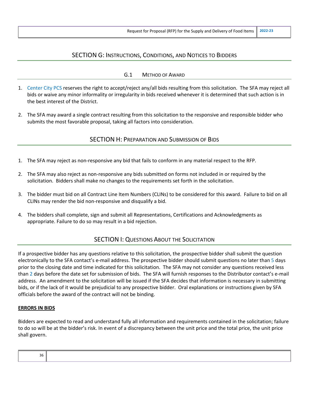## SECTION G: INSTRUCTIONS, CONDITIONS, AND NOTICES TO BIDDERS

#### G.1 METHOD OF AWARD

- 1. Center City PCS reserves the right to accept/reject any/all bids resulting from this solicitation. The SFA may reject all bids or waive any minor informality or irregularity in bids received whenever it is determined that such action is in the best interest of the District.
- 2. The SFA may award a single contract resulting from this solicitation to the responsive and responsible bidder who submits the most favorable proposal, taking all factors into consideration.

#### SECTION H: PREPARATION AND SUBMISSION OF BIDS

- 1. The SFA may reject as non-responsive any bid that fails to conform in any material respect to the RFP.
- 2. The SFA may also reject as non-responsive any bids submitted on forms not included in or required by the solicitation. Bidders shall make no changes to the requirements set forth in the solicitation.
- 3. The bidder must bid on all Contract Line Item Numbers (CLINs) to be considered for this award. Failure to bid on all CLINs may render the bid non-responsive and disqualify a bid.
- 4. The bidders shall complete, sign and submit all Representations, Certifications and Acknowledgments as appropriate. Failure to do so may result in a bid rejection.

## SECTION I: QUESTIONS ABOUT THE SOLICITATION

If a prospective bidder has any questions relative to this solicitation, the prospective bidder shall submit the question electronically to the SFA contact's e-mail address. The prospective bidder should submit questions no later than 5 days prior to the closing date and time indicated for this solicitation. The SFA may not consider any questions received less than 2 days before the date set for submission of bids. The SFA will furnish responses to the Distributor contact's e-mail address. An amendment to the solicitation will be issued if the SFA decides that information is necessary in submitting bids, or if the lack of it would be prejudicial to any prospective bidder. Oral explanations or instructions given by SFA officials before the award of the contract will not be binding.

#### **ERRORS IN BIDS**

Bidders are expected to read and understand fully all information and requirements contained in the solicitation; failure to do so will be at the bidder's risk. In event of a discrepancy between the unit price and the total price, the unit price shall govern.

| οU<br>$ -$ |  |
|------------|--|
|            |  |
|            |  |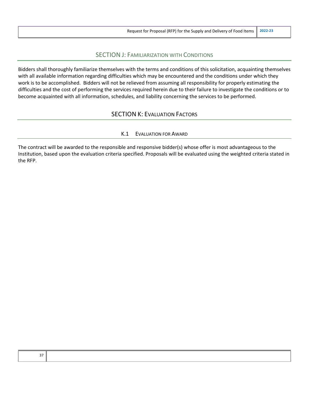## SECTION J: FAMILIARIZATION WITH CONDITIONS

Bidders shall thoroughly familiarize themselves with the terms and conditions of this solicitation, acquainting themselves with all available information regarding difficulties which may be encountered and the conditions under which they work is to be accomplished. Bidders will not be relieved from assuming all responsibility for properly estimating the difficulties and the cost of performing the services required herein due to their failure to investigate the conditions or to become acquainted with all information, schedules, and liability concerning the services to be performed.

## SECTION K: EVALUATION FACTORS

#### K.1 EVALUATION FOR AWARD

The contract will be awarded to the responsible and responsive bidder(s) whose offer is most advantageous to the Institution, based upon the evaluation criteria specified. Proposals will be evaluated using the weighted criteria stated in the RFP.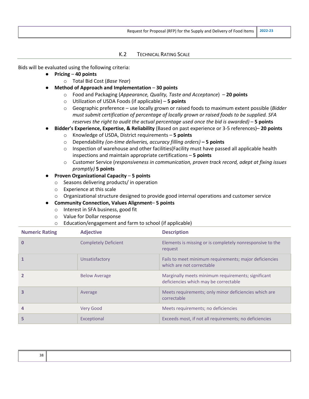#### K.2 TECHNICAL RATING SCALE

Bids will be evaluated using the following criteria:

- **Pricing 40 points**
	- o Total Bid Cost (*Base Year*)
- **Method of Approach and Implementation 30 points**
	- o Food and Packaging (*Appearance, Quality, Taste and Acceptance*) **20 points**
	- o Utilization of USDA Foods (if applicable) **5 points**
	- o Geographic preference use locally grown or raised foods to maximum extent possible (*Bidder must submit certification of percentage of locally grown or raised foods to be supplied. SFA reserves the right to audit the actual percentage used once the bid is awarded)* – **5 points**
- **Bidder's Experience, Expertise, & Reliability** (Based on past experience or 3-5 references)– **20 points**
	- o Knowledge of USDA, District requirements **5 points**
	- o Dependability *(on-time deliveries, accuracy filling orders)* **– 5 points**
	- $\circ$  Inspection of warehouse and other facilities (Facility must have passed all applicable health inspections and maintain appropriate certifications – **5 points**
	- o Customer Service (*responsiveness in communication, proven track record, adept at fixing issues promptly)* **5 points**
- **Proven Organizational Capacity 5 points**
	- o Seasons delivering products/ in operation
	- o Experience at this scale
	- o Organizational structure designed to provide good internal operations and customer service
- **Community Connection, Values Alignment 5 points**
	- o Interest in SFA business, good fit
	- o Value for Dollar response
	- o Education/engagement and farm to school (if applicable)

| <b>Numeric Rating</b> | <b>Adjective</b>            | <b>Description</b>                                                                          |
|-----------------------|-----------------------------|---------------------------------------------------------------------------------------------|
| O                     | <b>Completely Deficient</b> | Elements is missing or is completely nonresponsive to the<br>request                        |
|                       | Unsatisfactory              | Fails to meet minimum requirements; major deficiencies<br>which are not correctable         |
|                       | <b>Below Average</b>        | Marginally meets minimum requirements; significant<br>deficiencies which may be correctable |
|                       | Average                     | Meets requirements; only minor deficiencies which are<br>correctable                        |
| 4                     | <b>Very Good</b>            | Meets requirements; no deficiencies                                                         |
|                       | Exceptional                 | Exceeds most, if not all requirements; no deficiencies                                      |

| 38 |  |
|----|--|
|    |  |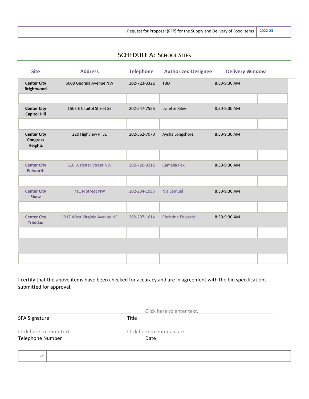Request for Proposal (RFP) for the Supply and Delivery of Food Items **2022-23**

# SCHEDULE A: SCHOOL SITES

| <b>Site</b>                                             | <b>Address</b>               | <b>Telephone</b> | <b>Authorized Designee</b> | <b>Delivery Window</b> |  |
|---------------------------------------------------------|------------------------------|------------------|----------------------------|------------------------|--|
| <b>Center City</b><br><b>Brightwood</b>                 | 6008 Georgia Avenue NW       | 202-723-3322     | <b>TBD</b>                 | 8:30-9:30 AM           |  |
|                                                         |                              |                  |                            |                        |  |
| <b>Center City</b><br><b>Capitol Hill</b>               | 1503 E Capitol Street SE     | 202-547-7556     | Lynette Riley              | 8:30-9:30 AM           |  |
|                                                         |                              |                  |                            |                        |  |
| <b>Center City</b><br><b>Congress</b><br><b>Heights</b> | 220 Highview Pl SE           | 202-562-7070     | Aysha Longshore            | 8:30-9:30 AM           |  |
|                                                         |                              |                  |                            |                        |  |
| <b>Center City</b><br><b>Petworth</b>                   | 510 Webster Street NW        | 202-726-9212     | Camelia Fox                | 8:30-9:30 AM           |  |
|                                                         |                              |                  |                            |                        |  |
| <b>Center City</b><br><b>Shaw</b>                       | 711 N Street NW              | 202-234-1093     | Nia Samuel                 | 8:30-9:30 AM           |  |
|                                                         |                              |                  |                            |                        |  |
| <b>Center City</b><br><b>Trinidad</b>                   | 1217 West Virginia Avenue NE | 202-297-1614     | <b>Christine Edwards</b>   | 8:30-9:30 AM           |  |
|                                                         |                              |                  |                            |                        |  |
|                                                         |                              |                  |                            |                        |  |
|                                                         |                              |                  |                            |                        |  |

I certify that the above items have been checked for accuracy and are in agreement with the bid specifications submitted for approval.

|                           | Click here to enter text.   |  |
|---------------------------|-----------------------------|--|
| <b>SFA Signature</b>      | Title                       |  |
| Click here to enter text. | Click here to enter a date. |  |
| <b>Telephone Number</b>   | Date                        |  |
|                           |                             |  |
| 39                        |                             |  |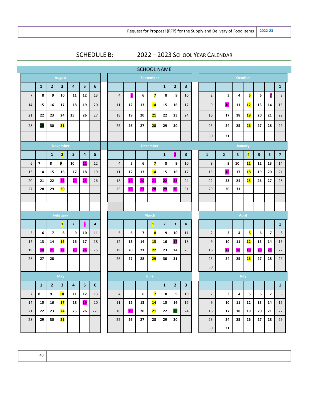# SCHEDULE B: 2022 - 2023 SCHOOL YEAR CALENDAR

|                |                          |                         |                         |                         |    |    |                |    |                          | <b>SCHOOL NAME</b>      |                |                |                         |                |                |                |                         |                         |                         |                |
|----------------|--------------------------|-------------------------|-------------------------|-------------------------|----|----|----------------|----|--------------------------|-------------------------|----------------|----------------|-------------------------|----------------|----------------|----------------|-------------------------|-------------------------|-------------------------|----------------|
|                |                          |                         | <b>August</b>           |                         |    |    |                |    |                          | September               |                |                |                         |                |                | <b>October</b> |                         |                         |                         |                |
|                | $\mathbf{1}$             | $\overline{2}$          | $\overline{\mathbf{3}}$ | $\overline{\mathbf{4}}$ | 5  | 6  |                |    |                          |                         | $\mathbf{1}$   | $\overline{2}$ | $\overline{\mathbf{3}}$ |                |                |                |                         |                         |                         | $\mathbf{1}$   |
| $\overline{7}$ | 8                        | 9                       | 10                      | 11                      | 12 | 13 | $\overline{4}$ | 5  | 6                        | $\overline{\mathbf{z}}$ | 8              | 9              | 10                      | $\overline{2}$ | 3              | 4              | 5                       | 6                       | 7                       | 8              |
| 14             | 15                       | 16                      | 17                      | 18                      | 19 | 20 | 11             | 12 | 13                       | 14                      | 15             | 16             | 17                      | 9              | 10             | 11             | 12                      | 13                      | 14                      | 15             |
| 21             | 22                       | 23                      | 24                      | 25                      | 26 | 27 | 18             | 19 | 20                       | 21                      | 22             | 23             | 24                      | 16             | 17             | 18             | <b>19</b>               | 20                      | 21                      | 22             |
| 28             | 29                       | 30                      | 31                      |                         |    |    | 25             | 26 | 27                       | 28                      | 29             | 30             |                         | 23             | 24             | 25             | 26                      | 27                      | 28                      | 29             |
|                |                          |                         |                         |                         |    |    |                |    |                          |                         |                |                |                         | 30             | 31             |                |                         |                         |                         |                |
|                |                          |                         | <b>November</b>         |                         |    |    |                |    |                          | <b>December</b>         |                |                |                         |                |                | <b>January</b> |                         |                         |                         |                |
|                |                          | $\mathbf{1}$            | $\overline{2}$          | $\overline{\mathbf{3}}$ | 4  | 5  |                |    |                          |                         | $\mathbf{1}$   | 2              | $\overline{\mathbf{3}}$ | $\mathbf{1}$   | $\overline{2}$ | 3              | $\overline{\mathbf{A}}$ | $\overline{\mathbf{5}}$ | 6                       | $\overline{7}$ |
| 6              | $\overline{\phantom{a}}$ | 8                       | 9                       | 10                      | 11 | 12 | $\overline{4}$ | 5  | 6                        | $\overline{\mathbf{z}}$ | 8              | 9              | 10                      | 8              | 9              | 10             | 11                      | 12                      | 13                      | 14             |
| 13             | 14                       | 15                      | 16                      | 17                      | 18 | 19 | 11             | 12 | 13                       | 14                      | 15             | 16             | 17                      | 15             | 16             | 17             | <b>18</b>               | 19                      | 20                      | 21             |
| 20             | 21                       | 22                      | 23                      | 24                      | 25 | 26 | 18             | 19 | 20                       | 21                      | 22             | 23             | 24                      | 22             | 23             | 24             | 25                      | 26                      | 27                      | 28             |
| 27             | 28                       | 29                      | 30                      |                         |    |    | 25             | 26 | 27                       | 28                      | 29             | 30             | 31                      | 29             | 30             | 31             |                         |                         |                         |                |
|                |                          |                         |                         |                         |    |    |                |    |                          |                         |                |                |                         |                |                |                |                         |                         |                         |                |
|                |                          |                         |                         |                         |    |    |                |    |                          |                         |                |                |                         |                |                |                |                         |                         |                         |                |
|                |                          |                         | February                |                         |    |    |                |    |                          | <b>March</b>            |                |                |                         | April          |                |                |                         |                         |                         |                |
|                |                          |                         | $\mathbf{1}$            | $\mathbf{2}$            | Ы  | 4  |                |    |                          | $\mathbf{1}$            | 2 <sup>1</sup> | $\mathbf{3}$   | 4                       |                |                |                |                         |                         |                         | $\mathbf{1}$   |
| 5              | 6                        | $\overline{\mathbf{z}}$ | 8                       | 9                       | 10 | 11 | 5              | 6  | $\overline{\phantom{a}}$ | 8                       | 9              | 10             | 11                      | $\overline{2}$ | 3              | 4              | 5                       | 6                       | $\overline{\mathbf{z}}$ | 8              |
| 12             | 13                       | 14                      | <b>15</b>               | 16                      | 17 | 18 | 12             | 13 | 14                       | <b>15</b>               | 16             | 17             | 18                      | 9              | 10             | 11             | 12                      | 13                      | 14                      | 15             |
| 19             | 20                       | 21                      | 22                      | 23                      | 24 | 25 | 19             | 20 | 21                       | 22                      | 23             | 24             | 25                      | 16             | 17             | 18             | 19                      | 20                      | 21                      | 22             |
| 26             | 27                       | 28                      |                         |                         |    |    | 26             | 27 | 28                       | 29                      | 30             | 31             |                         | 23             | 24             | 25             | 26                      | 27                      | 28                      | 29             |
|                |                          |                         |                         |                         |    |    |                |    |                          |                         |                |                |                         | 30             |                |                |                         |                         |                         |                |
|                |                          |                         | <b>May</b>              |                         |    |    |                |    |                          | June                    |                |                |                         |                |                | July           |                         |                         |                         |                |
|                | $\mathbf{1}$             | $\overline{2}$          | 3                       | 4                       | 5  | 6  |                |    |                          |                         | $\mathbf{1}$   | $\mathbf{2}$   | 3                       |                |                |                |                         |                         |                         | $\mathbf{1}$   |
| $\overline{7}$ | 8                        | 9                       | <b>10</b>               | 11                      | 12 | 13 | 4              | 5  | 6                        | 7                       | 8              | 9              | 10                      | $\overline{2}$ | 3              | 4              | 5                       | 6                       | $\overline{\mathbf{z}}$ | 8              |
| 14             | 15                       | 16                      | 17                      | 18                      | 19 | 20 | 11             | 12 | 13                       | 14                      | 15             | 16             | 17                      | 9              | 10             | 11             | 12                      | 13                      | 14                      | 15             |
| 21             | 22                       | 23                      | 24                      | 25                      | 26 | 27 | 18             | 19 | 20                       | 21                      | 22             | 23             | 24                      | 16             | 17             | 18             | 19                      | 20                      | 21                      | 22             |
| 28             | 29                       | 30                      | 31                      |                         |    |    | 25             | 26 | 27                       | 28                      | 29             | 30             |                         | 23             | 24             | 25             | 26                      | 27                      | 28                      | 29             |
|                |                          |                         |                         |                         |    |    |                |    |                          |                         |                |                |                         | 30             | 31             |                |                         |                         |                         |                |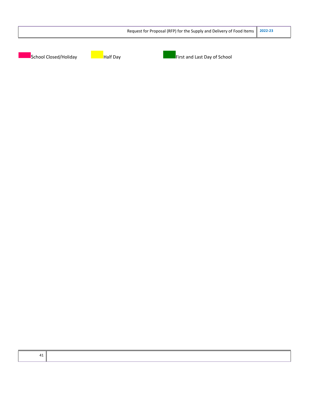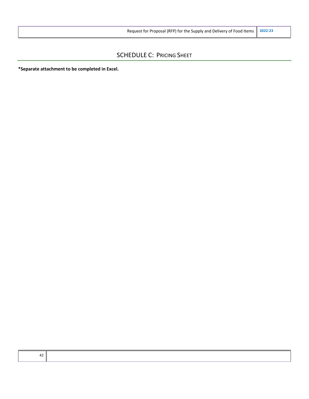## SCHEDULE C: PRICING SHEET

**\*Separate attachment to be completed in Excel.**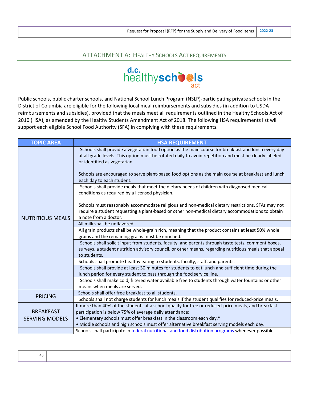## ATTACHMENT A: HEALTHY SCHOOLS ACT REQUIREMENTS



Public schools, public charter schools, and National School Lunch Program (NSLP)-participating private schools in the District of Columbia are eligible for the following local meal reimbursements and subsidies (in addition to USDA reimbursements and subsidies), provided that the meals meet all requirements outlined in the Healthy Schools Act of 2010 (HSA), as amended by the Healthy Students Amendment Act of 2018. The following HSA requirements list will support each eligible School Food Authority (SFA) in complying with these requirements.

| <b>TOPIC AREA</b>       | <b>HSA REQUIREMENT</b>                                                                                                                                                                                                                                                                                                                              |
|-------------------------|-----------------------------------------------------------------------------------------------------------------------------------------------------------------------------------------------------------------------------------------------------------------------------------------------------------------------------------------------------|
|                         | Schools shall provide a vegetarian food option as the main course for breakfast and lunch every day<br>at all grade levels. This option must be rotated daily to avoid repetition and must be clearly labeled<br>or identified as vegetarian.<br>Schools are encouraged to serve plant-based food options as the main course at breakfast and lunch |
|                         | each day to each student.<br>Schools shall provide meals that meet the dietary needs of children with diagnosed medical                                                                                                                                                                                                                             |
|                         | conditions as required by a licensed physician.                                                                                                                                                                                                                                                                                                     |
| <b>NUTRITIOUS MEALS</b> | Schools must reasonably accommodate religious and non-medical dietary restrictions. SFAs may not<br>require a student requesting a plant-based or other non-medical dietary accommodations to obtain<br>a note from a doctor.                                                                                                                       |
|                         | All milk shall be unflavored.                                                                                                                                                                                                                                                                                                                       |
|                         | All grain products shall be whole-grain rich, meaning that the product contains at least 50% whole<br>grains and the remaining grains must be enriched.                                                                                                                                                                                             |
|                         | Schools shall solicit input from students, faculty, and parents through taste tests, comment boxes,                                                                                                                                                                                                                                                 |
|                         | surveys, a student nutrition advisory council, or other means, regarding nutritious meals that appeal<br>to students.                                                                                                                                                                                                                               |
|                         | Schools shall promote healthy eating to students, faculty, staff, and parents.                                                                                                                                                                                                                                                                      |
|                         | Schools shall provide at least 30 minutes for students to eat lunch and sufficient time during the                                                                                                                                                                                                                                                  |
|                         | lunch period for every student to pass through the food service line.                                                                                                                                                                                                                                                                               |
|                         | Schools shall make cold, filtered water available free to students through water fountains or other<br>means when meals are served.                                                                                                                                                                                                                 |
|                         | Schools shall offer free breakfast to all students.                                                                                                                                                                                                                                                                                                 |
| <b>PRICING</b>          | Schools shall not charge students for lunch meals if the student qualifies for reduced-price meals.                                                                                                                                                                                                                                                 |
|                         | If more than 40% of the students at a school qualify for free or reduced-price meals, and breakfast                                                                                                                                                                                                                                                 |
| <b>BREAKFAST</b>        | participation is below 75% of average daily attendance:                                                                                                                                                                                                                                                                                             |
| <b>SERVING MODELS</b>   | • Elementary schools must offer breakfast in the classroom each day.*                                                                                                                                                                                                                                                                               |
|                         | . Middle schools and high schools must offer alternative breakfast serving models each day.                                                                                                                                                                                                                                                         |
|                         | Schools shall participate in federal nutritional and food distribution programs whenever possible.                                                                                                                                                                                                                                                  |

| -- |  |  |  |  |
|----|--|--|--|--|
|----|--|--|--|--|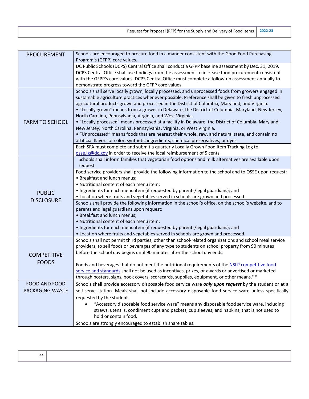| Request for Proposal (RFP) for the Supply and Delivery of Food Items 2022-23 |  |
|------------------------------------------------------------------------------|--|
|------------------------------------------------------------------------------|--|

| <b>PROCUREMENT</b>                                                                              | Schools are encouraged to procure food in a manner consistent with the Good Food Purchasing                                                                                                                                                                                                                                                                                                                                                                                                                                                                                                                                                                                                                                                                                                                                                                                                                                                                                                                                                                                                                                                                                                                                                                                                                                                                                                                                                                                                                                                                                                                                                                                                                                                                                                                                                                                                                                                                                                                                                                                                                                                                                                                                                                                                                                                                                                                                   |
|-------------------------------------------------------------------------------------------------|-------------------------------------------------------------------------------------------------------------------------------------------------------------------------------------------------------------------------------------------------------------------------------------------------------------------------------------------------------------------------------------------------------------------------------------------------------------------------------------------------------------------------------------------------------------------------------------------------------------------------------------------------------------------------------------------------------------------------------------------------------------------------------------------------------------------------------------------------------------------------------------------------------------------------------------------------------------------------------------------------------------------------------------------------------------------------------------------------------------------------------------------------------------------------------------------------------------------------------------------------------------------------------------------------------------------------------------------------------------------------------------------------------------------------------------------------------------------------------------------------------------------------------------------------------------------------------------------------------------------------------------------------------------------------------------------------------------------------------------------------------------------------------------------------------------------------------------------------------------------------------------------------------------------------------------------------------------------------------------------------------------------------------------------------------------------------------------------------------------------------------------------------------------------------------------------------------------------------------------------------------------------------------------------------------------------------------------------------------------------------------------------------------------------------------|
|                                                                                                 | Program's (GFPP) core values.                                                                                                                                                                                                                                                                                                                                                                                                                                                                                                                                                                                                                                                                                                                                                                                                                                                                                                                                                                                                                                                                                                                                                                                                                                                                                                                                                                                                                                                                                                                                                                                                                                                                                                                                                                                                                                                                                                                                                                                                                                                                                                                                                                                                                                                                                                                                                                                                 |
|                                                                                                 | DC Public Schools (DCPS) Central Office shall conduct a GFPP baseline assessment by Dec. 31, 2019.                                                                                                                                                                                                                                                                                                                                                                                                                                                                                                                                                                                                                                                                                                                                                                                                                                                                                                                                                                                                                                                                                                                                                                                                                                                                                                                                                                                                                                                                                                                                                                                                                                                                                                                                                                                                                                                                                                                                                                                                                                                                                                                                                                                                                                                                                                                            |
|                                                                                                 | DCPS Central Office shall use findings from the assessment to increase food procurement consistent                                                                                                                                                                                                                                                                                                                                                                                                                                                                                                                                                                                                                                                                                                                                                                                                                                                                                                                                                                                                                                                                                                                                                                                                                                                                                                                                                                                                                                                                                                                                                                                                                                                                                                                                                                                                                                                                                                                                                                                                                                                                                                                                                                                                                                                                                                                            |
|                                                                                                 | with the GFPP's core values. DCPS Central Office must complete a follow-up assessment annually to                                                                                                                                                                                                                                                                                                                                                                                                                                                                                                                                                                                                                                                                                                                                                                                                                                                                                                                                                                                                                                                                                                                                                                                                                                                                                                                                                                                                                                                                                                                                                                                                                                                                                                                                                                                                                                                                                                                                                                                                                                                                                                                                                                                                                                                                                                                             |
|                                                                                                 | demonstrate progress toward the GFPP core values.                                                                                                                                                                                                                                                                                                                                                                                                                                                                                                                                                                                                                                                                                                                                                                                                                                                                                                                                                                                                                                                                                                                                                                                                                                                                                                                                                                                                                                                                                                                                                                                                                                                                                                                                                                                                                                                                                                                                                                                                                                                                                                                                                                                                                                                                                                                                                                             |
|                                                                                                 | Schools shall serve locally grown, locally processed, and unprocessed foods from growers engaged in                                                                                                                                                                                                                                                                                                                                                                                                                                                                                                                                                                                                                                                                                                                                                                                                                                                                                                                                                                                                                                                                                                                                                                                                                                                                                                                                                                                                                                                                                                                                                                                                                                                                                                                                                                                                                                                                                                                                                                                                                                                                                                                                                                                                                                                                                                                           |
|                                                                                                 | sustainable agriculture practices whenever possible. Preference shall be given to fresh unprocessed                                                                                                                                                                                                                                                                                                                                                                                                                                                                                                                                                                                                                                                                                                                                                                                                                                                                                                                                                                                                                                                                                                                                                                                                                                                                                                                                                                                                                                                                                                                                                                                                                                                                                                                                                                                                                                                                                                                                                                                                                                                                                                                                                                                                                                                                                                                           |
|                                                                                                 | agricultural products grown and processed in the District of Columbia, Maryland, and Virginia.                                                                                                                                                                                                                                                                                                                                                                                                                                                                                                                                                                                                                                                                                                                                                                                                                                                                                                                                                                                                                                                                                                                                                                                                                                                                                                                                                                                                                                                                                                                                                                                                                                                                                                                                                                                                                                                                                                                                                                                                                                                                                                                                                                                                                                                                                                                                |
|                                                                                                 |                                                                                                                                                                                                                                                                                                                                                                                                                                                                                                                                                                                                                                                                                                                                                                                                                                                                                                                                                                                                                                                                                                                                                                                                                                                                                                                                                                                                                                                                                                                                                                                                                                                                                                                                                                                                                                                                                                                                                                                                                                                                                                                                                                                                                                                                                                                                                                                                                               |
|                                                                                                 |                                                                                                                                                                                                                                                                                                                                                                                                                                                                                                                                                                                                                                                                                                                                                                                                                                                                                                                                                                                                                                                                                                                                                                                                                                                                                                                                                                                                                                                                                                                                                                                                                                                                                                                                                                                                                                                                                                                                                                                                                                                                                                                                                                                                                                                                                                                                                                                                                               |
|                                                                                                 |                                                                                                                                                                                                                                                                                                                                                                                                                                                                                                                                                                                                                                                                                                                                                                                                                                                                                                                                                                                                                                                                                                                                                                                                                                                                                                                                                                                                                                                                                                                                                                                                                                                                                                                                                                                                                                                                                                                                                                                                                                                                                                                                                                                                                                                                                                                                                                                                                               |
|                                                                                                 |                                                                                                                                                                                                                                                                                                                                                                                                                                                                                                                                                                                                                                                                                                                                                                                                                                                                                                                                                                                                                                                                                                                                                                                                                                                                                                                                                                                                                                                                                                                                                                                                                                                                                                                                                                                                                                                                                                                                                                                                                                                                                                                                                                                                                                                                                                                                                                                                                               |
|                                                                                                 |                                                                                                                                                                                                                                                                                                                                                                                                                                                                                                                                                                                                                                                                                                                                                                                                                                                                                                                                                                                                                                                                                                                                                                                                                                                                                                                                                                                                                                                                                                                                                                                                                                                                                                                                                                                                                                                                                                                                                                                                                                                                                                                                                                                                                                                                                                                                                                                                                               |
|                                                                                                 |                                                                                                                                                                                                                                                                                                                                                                                                                                                                                                                                                                                                                                                                                                                                                                                                                                                                                                                                                                                                                                                                                                                                                                                                                                                                                                                                                                                                                                                                                                                                                                                                                                                                                                                                                                                                                                                                                                                                                                                                                                                                                                                                                                                                                                                                                                                                                                                                                               |
|                                                                                                 |                                                                                                                                                                                                                                                                                                                                                                                                                                                                                                                                                                                                                                                                                                                                                                                                                                                                                                                                                                                                                                                                                                                                                                                                                                                                                                                                                                                                                                                                                                                                                                                                                                                                                                                                                                                                                                                                                                                                                                                                                                                                                                                                                                                                                                                                                                                                                                                                                               |
|                                                                                                 |                                                                                                                                                                                                                                                                                                                                                                                                                                                                                                                                                                                                                                                                                                                                                                                                                                                                                                                                                                                                                                                                                                                                                                                                                                                                                                                                                                                                                                                                                                                                                                                                                                                                                                                                                                                                                                                                                                                                                                                                                                                                                                                                                                                                                                                                                                                                                                                                                               |
|                                                                                                 |                                                                                                                                                                                                                                                                                                                                                                                                                                                                                                                                                                                                                                                                                                                                                                                                                                                                                                                                                                                                                                                                                                                                                                                                                                                                                                                                                                                                                                                                                                                                                                                                                                                                                                                                                                                                                                                                                                                                                                                                                                                                                                                                                                                                                                                                                                                                                                                                                               |
|                                                                                                 |                                                                                                                                                                                                                                                                                                                                                                                                                                                                                                                                                                                                                                                                                                                                                                                                                                                                                                                                                                                                                                                                                                                                                                                                                                                                                                                                                                                                                                                                                                                                                                                                                                                                                                                                                                                                                                                                                                                                                                                                                                                                                                                                                                                                                                                                                                                                                                                                                               |
|                                                                                                 |                                                                                                                                                                                                                                                                                                                                                                                                                                                                                                                                                                                                                                                                                                                                                                                                                                                                                                                                                                                                                                                                                                                                                                                                                                                                                                                                                                                                                                                                                                                                                                                                                                                                                                                                                                                                                                                                                                                                                                                                                                                                                                                                                                                                                                                                                                                                                                                                                               |
|                                                                                                 |                                                                                                                                                                                                                                                                                                                                                                                                                                                                                                                                                                                                                                                                                                                                                                                                                                                                                                                                                                                                                                                                                                                                                                                                                                                                                                                                                                                                                                                                                                                                                                                                                                                                                                                                                                                                                                                                                                                                                                                                                                                                                                                                                                                                                                                                                                                                                                                                                               |
|                                                                                                 |                                                                                                                                                                                                                                                                                                                                                                                                                                                                                                                                                                                                                                                                                                                                                                                                                                                                                                                                                                                                                                                                                                                                                                                                                                                                                                                                                                                                                                                                                                                                                                                                                                                                                                                                                                                                                                                                                                                                                                                                                                                                                                                                                                                                                                                                                                                                                                                                                               |
|                                                                                                 | • Location where fruits and vegetables served in schools are grown and processed.                                                                                                                                                                                                                                                                                                                                                                                                                                                                                                                                                                                                                                                                                                                                                                                                                                                                                                                                                                                                                                                                                                                                                                                                                                                                                                                                                                                                                                                                                                                                                                                                                                                                                                                                                                                                                                                                                                                                                                                                                                                                                                                                                                                                                                                                                                                                             |
|                                                                                                 | Schools shall provide the following information in the school's office, on the school's website, and to                                                                                                                                                                                                                                                                                                                                                                                                                                                                                                                                                                                                                                                                                                                                                                                                                                                                                                                                                                                                                                                                                                                                                                                                                                                                                                                                                                                                                                                                                                                                                                                                                                                                                                                                                                                                                                                                                                                                                                                                                                                                                                                                                                                                                                                                                                                       |
|                                                                                                 | parents and legal guardians upon request:                                                                                                                                                                                                                                                                                                                                                                                                                                                                                                                                                                                                                                                                                                                                                                                                                                                                                                                                                                                                                                                                                                                                                                                                                                                                                                                                                                                                                                                                                                                                                                                                                                                                                                                                                                                                                                                                                                                                                                                                                                                                                                                                                                                                                                                                                                                                                                                     |
|                                                                                                 | • Breakfast and lunch menus;                                                                                                                                                                                                                                                                                                                                                                                                                                                                                                                                                                                                                                                                                                                                                                                                                                                                                                                                                                                                                                                                                                                                                                                                                                                                                                                                                                                                                                                                                                                                                                                                                                                                                                                                                                                                                                                                                                                                                                                                                                                                                                                                                                                                                                                                                                                                                                                                  |
|                                                                                                 | · Nutritional content of each menu item;                                                                                                                                                                                                                                                                                                                                                                                                                                                                                                                                                                                                                                                                                                                                                                                                                                                                                                                                                                                                                                                                                                                                                                                                                                                                                                                                                                                                                                                                                                                                                                                                                                                                                                                                                                                                                                                                                                                                                                                                                                                                                                                                                                                                                                                                                                                                                                                      |
|                                                                                                 |                                                                                                                                                                                                                                                                                                                                                                                                                                                                                                                                                                                                                                                                                                                                                                                                                                                                                                                                                                                                                                                                                                                                                                                                                                                                                                                                                                                                                                                                                                                                                                                                                                                                                                                                                                                                                                                                                                                                                                                                                                                                                                                                                                                                                                                                                                                                                                                                                               |
|                                                                                                 |                                                                                                                                                                                                                                                                                                                                                                                                                                                                                                                                                                                                                                                                                                                                                                                                                                                                                                                                                                                                                                                                                                                                                                                                                                                                                                                                                                                                                                                                                                                                                                                                                                                                                                                                                                                                                                                                                                                                                                                                                                                                                                                                                                                                                                                                                                                                                                                                                               |
|                                                                                                 |                                                                                                                                                                                                                                                                                                                                                                                                                                                                                                                                                                                                                                                                                                                                                                                                                                                                                                                                                                                                                                                                                                                                                                                                                                                                                                                                                                                                                                                                                                                                                                                                                                                                                                                                                                                                                                                                                                                                                                                                                                                                                                                                                                                                                                                                                                                                                                                                                               |
|                                                                                                 |                                                                                                                                                                                                                                                                                                                                                                                                                                                                                                                                                                                                                                                                                                                                                                                                                                                                                                                                                                                                                                                                                                                                                                                                                                                                                                                                                                                                                                                                                                                                                                                                                                                                                                                                                                                                                                                                                                                                                                                                                                                                                                                                                                                                                                                                                                                                                                                                                               |
| <b>COMPETITIVE</b>                                                                              |                                                                                                                                                                                                                                                                                                                                                                                                                                                                                                                                                                                                                                                                                                                                                                                                                                                                                                                                                                                                                                                                                                                                                                                                                                                                                                                                                                                                                                                                                                                                                                                                                                                                                                                                                                                                                                                                                                                                                                                                                                                                                                                                                                                                                                                                                                                                                                                                                               |
| <b>FOODS</b>                                                                                    |                                                                                                                                                                                                                                                                                                                                                                                                                                                                                                                                                                                                                                                                                                                                                                                                                                                                                                                                                                                                                                                                                                                                                                                                                                                                                                                                                                                                                                                                                                                                                                                                                                                                                                                                                                                                                                                                                                                                                                                                                                                                                                                                                                                                                                                                                                                                                                                                                               |
|                                                                                                 |                                                                                                                                                                                                                                                                                                                                                                                                                                                                                                                                                                                                                                                                                                                                                                                                                                                                                                                                                                                                                                                                                                                                                                                                                                                                                                                                                                                                                                                                                                                                                                                                                                                                                                                                                                                                                                                                                                                                                                                                                                                                                                                                                                                                                                                                                                                                                                                                                               |
|                                                                                                 |                                                                                                                                                                                                                                                                                                                                                                                                                                                                                                                                                                                                                                                                                                                                                                                                                                                                                                                                                                                                                                                                                                                                                                                                                                                                                                                                                                                                                                                                                                                                                                                                                                                                                                                                                                                                                                                                                                                                                                                                                                                                                                                                                                                                                                                                                                                                                                                                                               |
|                                                                                                 |                                                                                                                                                                                                                                                                                                                                                                                                                                                                                                                                                                                                                                                                                                                                                                                                                                                                                                                                                                                                                                                                                                                                                                                                                                                                                                                                                                                                                                                                                                                                                                                                                                                                                                                                                                                                                                                                                                                                                                                                                                                                                                                                                                                                                                                                                                                                                                                                                               |
|                                                                                                 |                                                                                                                                                                                                                                                                                                                                                                                                                                                                                                                                                                                                                                                                                                                                                                                                                                                                                                                                                                                                                                                                                                                                                                                                                                                                                                                                                                                                                                                                                                                                                                                                                                                                                                                                                                                                                                                                                                                                                                                                                                                                                                                                                                                                                                                                                                                                                                                                                               |
|                                                                                                 |                                                                                                                                                                                                                                                                                                                                                                                                                                                                                                                                                                                                                                                                                                                                                                                                                                                                                                                                                                                                                                                                                                                                                                                                                                                                                                                                                                                                                                                                                                                                                                                                                                                                                                                                                                                                                                                                                                                                                                                                                                                                                                                                                                                                                                                                                                                                                                                                                               |
|                                                                                                 |                                                                                                                                                                                                                                                                                                                                                                                                                                                                                                                                                                                                                                                                                                                                                                                                                                                                                                                                                                                                                                                                                                                                                                                                                                                                                                                                                                                                                                                                                                                                                                                                                                                                                                                                                                                                                                                                                                                                                                                                                                                                                                                                                                                                                                                                                                                                                                                                                               |
|                                                                                                 |                                                                                                                                                                                                                                                                                                                                                                                                                                                                                                                                                                                                                                                                                                                                                                                                                                                                                                                                                                                                                                                                                                                                                                                                                                                                                                                                                                                                                                                                                                                                                                                                                                                                                                                                                                                                                                                                                                                                                                                                                                                                                                                                                                                                                                                                                                                                                                                                                               |
|                                                                                                 |                                                                                                                                                                                                                                                                                                                                                                                                                                                                                                                                                                                                                                                                                                                                                                                                                                                                                                                                                                                                                                                                                                                                                                                                                                                                                                                                                                                                                                                                                                                                                                                                                                                                                                                                                                                                                                                                                                                                                                                                                                                                                                                                                                                                                                                                                                                                                                                                                               |
|                                                                                                 |                                                                                                                                                                                                                                                                                                                                                                                                                                                                                                                                                                                                                                                                                                                                                                                                                                                                                                                                                                                                                                                                                                                                                                                                                                                                                                                                                                                                                                                                                                                                                                                                                                                                                                                                                                                                                                                                                                                                                                                                                                                                                                                                                                                                                                                                                                                                                                                                                               |
| <b>FARM TO SCHOOL</b><br><b>PUBLIC</b><br><b>DISCLOSURE</b><br>FOOD AND FOOD<br>PACKAGING WASTE | • "Locally grown" means from a grower in Delaware, the District of Columbia, Maryland, New Jersey,<br>North Carolina, Pennsylvania, Virginia, and West Virginia.<br>• "Locally processed" means processed at a facility in Delaware, the District of Columbia, Maryland,<br>New Jersey, North Carolina, Pennsylvania, Virginia, or West Virginia.<br>• "Unprocessed" means foods that are nearest their whole, raw, and natural state, and contain no<br>artificial flavors or color, synthetic ingredients, chemical preservatives, or dyes.<br>Each SFA must complete and submit a quarterly Locally Grown Food Item Tracking Log to<br>osse.lg@dc.gov in order to receive the local reimbursement of 5 cents.<br>Schools shall inform families that vegetarian food options and milk alternatives are available upon<br>request.<br>Food service providers shall provide the following information to the school and to OSSE upon request:<br>• Breakfast and lunch menus;<br>. Nutritional content of each menu item;<br>• Ingredients for each menu item (if requested by parents/legal guardians); and<br>. Ingredients for each menu item (if requested by parents/legal guardians); and<br>• Location where fruits and vegetables served in schools are grown and processed.<br>Schools shall not permit third parties, other than school-related organizations and school meal service<br>providers, to sell foods or beverages of any type to students on school property from 90 minutes<br>before the school day begins until 90 minutes after the school day ends.<br>Foods and beverages that do not meet the nutritional requirements of the NSLP competitive food<br>service and standards shall not be used as incentives, prizes, or awards or advertised or marketed<br>through posters, signs, book covers, scorecards, supplies, equipment, or other means.**<br>Schools shall provide accessory disposable food service ware <i>only upon request</i> by the student or at a<br>self-serve station. Meals shall not include accessory disposable food service ware unless specifically<br>requested by the student.<br>"Accessory disposable food service ware" means any disposable food service ware, including<br>straws, utensils, condiment cups and packets, cup sleeves, and napkins, that is not used to<br>hold or contain food.<br>Schools are strongly encouraged to establish share tables. |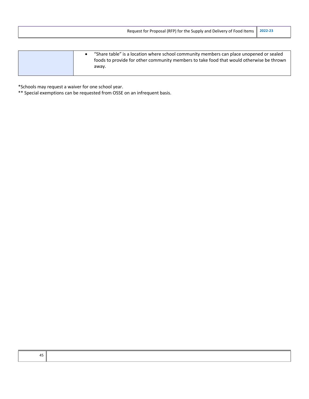| Request for Proposal (RFP) for the Supply and Delivery of Food Items                                                                                                                              | 2022-23 |
|---------------------------------------------------------------------------------------------------------------------------------------------------------------------------------------------------|---------|
|                                                                                                                                                                                                   |         |
| "Share table" is a location where school community members can place unopened or sealed<br>٠<br>foods to provide for other community members to take food that would otherwise be thrown<br>away. |         |

\*Schools may request a waiver for one school year.

\*\* Special exemptions can be requested from OSSE on an infrequent basis.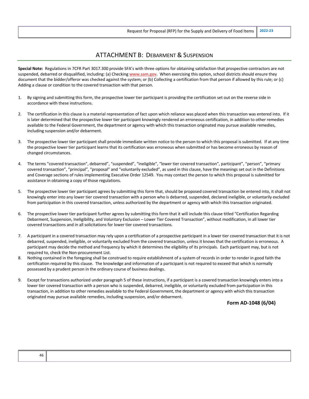## ATTACHMENT B: DEBARMENT & SUSPENSION

**Special Note:** Regulations in 7CFR Part 3017.300 provide SFA's with three options for obtaining satisfaction that prospective contractors are not suspended, debarred or disqualified, including: (a) Checking **www.sam.gov**. When exercising this option, school districts should ensure they document that the bidder/offeror was checked against the system; or (b) Collecting a certification from that person if allowed by this rule; or (c) Adding a clause or condition to the covered transaction with that person.

- 1. By signing and submitting this form, the prospective lower tier participant is providing the certification set out on the reverse side in accordance with these instructions.
- 2. The certification in this clause is a material representation of fact upon which reliance was placed when this transaction was entered into. If it is later determined that the prospective lower tier participant knowingly rendered an erroneous certification, in addition to other remedies available to the Federal Government, the department or agency with which this transaction originated may pursue available remedies, including suspension and/or debarment.
- 3. The prospective lower tier participant shall provide immediate written notice to the person to which this proposal is submitted. If at any time the prospective lower tier participant learns that its certification was erroneous when submitted or has become erroneous by reason of changed circumstances.
- 4. The terms "covered transaction", debarred", "suspended", "ineligible", "lower tier covered transaction", participant", "person", "primary covered transaction", "principal", "proposal" and "voluntarily excluded", as used in this clause, have the meanings set out in the Definitions and Coverage sections of rules implementing Executive Order 12549. You may contact the person to which this proposal is submitted for assistance in obtaining a copy of those regulations.
- 5. The prospective lower tier participant agrees by submitting this form that, should be proposed covered transaction be entered into, it shall not knowingly enter into any lower tier covered transaction with a person who is debarred, suspended, declared ineligible, or voluntarily excluded from participation in this covered transaction, unless authorized by the department or agency with which this transaction originated.
- 6. The prospective lower tier participant further agrees by submitting this form that it will include this clause titled "Certification Regarding Debarment, Suspension, Ineligibility, and Voluntary Exclusion – Lower Tier Covered Transaction", without modification, in all lower tier covered transactions and in all solicitations for lower tier covered transactions.
- 7. A participant in a covered transaction may rely upon a certification of a prospective participant in a lower tier covered transaction that it is not debarred, suspended, ineligible, or voluntarily excluded from the covered transaction, unless it knows that the certification is erroneous. A participant may decide the method and frequency by which it determines the eligibility of its principals. Each participant may, but is not required to, check the Non-procurement List.
- 8. Nothing contained in the foregoing shall be construed to require establishment of a system of records in order to render in good faith the certification required by this clause. The knowledge and information of a participant is not required to exceed that which is normally possessed by a prudent person in the ordinary course of business dealings.
- 9. Except for transactions authorized under paragraph 5 of these instructions, if a participant is a covered transaction knowingly enters into a lower tier covered transaction with a person who is suspended, debarred, ineligible, or voluntarily excluded from participation in this transaction, in addition to other remedies available to the Federal Government, the department or agency with which this transaction originated may pursue available remedies, including suspension, and/or debarment.

**Form AD-1048 (6/04)**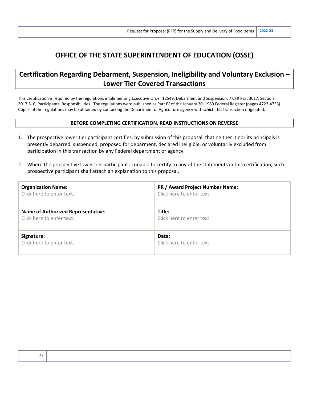# **OFFICE OF THE STATE SUPERINTENDENT OF EDUCATION (OSSE)**

# **Certification Regarding Debarment, Suspension, Ineligibility and Voluntary Exclusion – Lower Tier Covered Transactions**

This certification is required by the regulations implementing Executive Order 12549, Debarment and Suspension, 7 CFR Part 3017, Section 3017.510, Participants' Responsibilities. The regulations were published as Part IV of the January 30, 1989 Federal Register (pages 4722-4733). Copies of the regulations may be obtained by contacting the Department of Agriculture agency with which this transaction originated.

#### **BEFORE COMPLETING CERTIFICATION, READ INSTRUCTIONS ON REVERSE**

- 1. The prospective lower tier participant certifies, by submission of this proposal, that neither it nor its principals is presently debarred, suspended, proposed for debarment, declared ineligible, or voluntarily excluded from participation in this transaction by any Federal department or agency.
- 2. Where the prospective lower tier participant is unable to certify to any of the statements in this certification, such prospective participant shall attach an explanation to this proposal.

| <b>Organization Name:</b>                 | PR / Award Project Number Name: |
|-------------------------------------------|---------------------------------|
| Click here to enter text.                 | Click here to enter text.       |
| <b>Name of Authorized Representative:</b> | Title:                          |
| Click here to enter text.                 | Click here to enter text.       |
| Signature:                                | Date:                           |
| Click here to enter text.                 | Click here to enter text.       |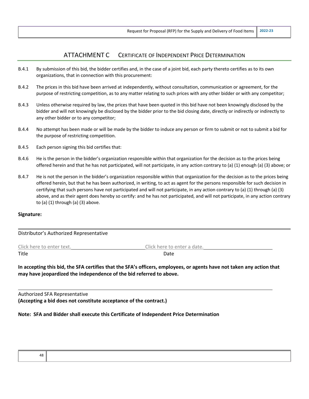## ATTACHMENT C CERTIFICATE OF INDEPENDENT PRICE DETERMINATION

- B.4.1 By submission of this bid, the bidder certifies and, in the case of a joint bid, each party thereto certifies as to its own organizations, that in connection with this procurement:
- B.4.2 The prices in this bid have been arrived at independently, without consultation, communication or agreement, for the purpose of restricting competition, as to any matter relating to such prices with any other bidder or with any competitor;
- B.4.3 Unless otherwise required by law, the prices that have been quoted in this bid have not been knowingly disclosed by the bidder and will not knowingly be disclosed by the bidder prior to the bid closing date, directly or indirectly or indirectly to any other bidder or to any competitor;
- B.4.4 No attempt has been made or will be made by the bidder to induce any person or firm to submit or not to submit a bid for the purpose of restricting competition.
- B.4.5 Each person signing this bid certifies that:
- B.4.6 He is the person in the bidder's organization responsible within that organization for the decision as to the prices being offered herein and that he has not participated, will not participate, in any action contrary to (a) (1) enough (a) (3) above; or
- B.4.7 He is not the person in the bidder's organization responsible within that organization for the decision as to the prices being offered herein, but that he has been authorized, in writing, to act as agent for the persons responsible for such decision in certifying that such persons have not participated and will not participate, in any action contrary to (a) (1) through (a) (3) above, and as their agent does hereby so certify: and he has not participated, and will not participate, in any action contrary to (a)  $(1)$  through  $(a)$   $(3)$  above.

#### **Signature:**

Distributor's Authorized Representative

| Click here to enter text. | Click here to enter a date. |
|---------------------------|-----------------------------|
| Title                     | Date                        |

**In accepting this bid, the SFA certifies that the SFA's officers, employees, or agents have not taken any action that may have jeopardized the independence of the bid referred to above.**

Authorized SFA Representative **(Accepting a bid does not constitute acceptance of the contract.)**

**Note: SFA and Bidder shall execute this Certificate of Independent Price Determination**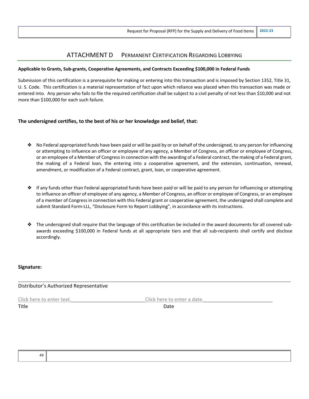## ATTACHMENT D PERMANENT CERTIFICATION REGARDING LOBBYING

#### **Applicable to Grants, Sub-grants, Cooperative Agreements, and Contracts Exceeding \$100,000 in Federal Funds**

Submission of this certification is a prerequisite for making or entering into this transaction and is imposed by Section 1352, Title 31, U. S. Code. This certification is a material representation of fact upon which reliance was placed when this transaction was made or entered into. Any person who fails to file the required certification shall be subject to a civil penalty of not less than \$10,000 and not more than \$100,000 for each such failure.

#### **The undersigned certifies, to the best of his or her knowledge and belief, that:**

- ❖ No Federal appropriated funds have been paid or will be paid by or on behalf of the undersigned, to any person for influencing or attempting to influence an officer or employee of any agency, a Member of Congress, an officer or employee of Congress, or an employee of a Member of Congress in connection with the awarding of a Federal contract, the making of a Federal grant, the making of a Federal loan, the entering into a cooperative agreement, and the extension, continuation, renewal, amendment, or modification of a Federal contract, grant, loan, or cooperative agreement.
- ❖ If any funds other than Federal appropriated funds have been paid or will be paid to any person for influencing or attempting to influence an officer of employee of any agency, a Member of Congress, an officer or employee of Congress, or an employee of a member of Congress in connection with this Federal grant or cooperative agreement, the undersigned shall complete and submit Standard Form-LLL, "Disclosure Form to Report Lobbying", in accordance with its instructions.
- ❖ The undersigned shall require that the language of this certification be included in the award documents for all covered subawards exceeding \$100,000 in Federal funds at all appropriate tiers and that all sub-recipients shall certify and disclose accordingly.

#### **Signature:**

Distributor's Authorized Representative

Click here to enter text. Click here to enter a date.

Title **Date**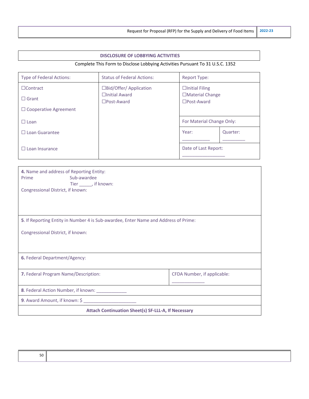#### **DISCLOSURE OF LOBBYING ACTIVITIES**

## Complete This Form to Disclose Lobbying Activities Pursuant To 31 U.S.C. 1352

| <b>Type of Federal Actions:</b> | <b>Status of Federal Actions:</b>            | <b>Report Type:</b>                            |          |
|---------------------------------|----------------------------------------------|------------------------------------------------|----------|
| $\Box$ Contract                 | □Bid/Offer/ Application                      | $\Box$ Initial Filing                          |          |
| $\Box$ Grant                    | $\Box$ Initial Award<br>$\square$ Post-Award | $\Box$ Material Change<br>$\square$ Post-Award |          |
| $\Box$ Cooperative Agreement    |                                              |                                                |          |
| $\Box$ Loan                     |                                              | For Material Change Only:                      |          |
| $\Box$ Loan Guarantee           |                                              | Year:                                          | Quarter: |
|                                 |                                              |                                                |          |
| Loan Insurance                  |                                              | Date of Last Report:                           |          |
|                                 |                                              |                                                |          |

| 4. Name and address of Reporting Entity:<br>Sub-awardee<br><b>Prime</b><br>Tier ______, if known:<br>Congressional District, if known: |                             |  |  |
|----------------------------------------------------------------------------------------------------------------------------------------|-----------------------------|--|--|
| 5. If Reporting Entity in Number 4 is Sub-awardee, Enter Name and Address of Prime:                                                    |                             |  |  |
| Congressional District, if known:                                                                                                      |                             |  |  |
| 6. Federal Department/Agency:                                                                                                          |                             |  |  |
| 7. Federal Program Name/Description:                                                                                                   | CFDA Number, if applicable: |  |  |
| 8. Federal Action Number, if known: ___________                                                                                        |                             |  |  |
| 9. Award Amount, if known: \$                                                                                                          |                             |  |  |
| <b>Attach Continuation Sheet(s) SF-LLL-A, If Necessary</b>                                                                             |                             |  |  |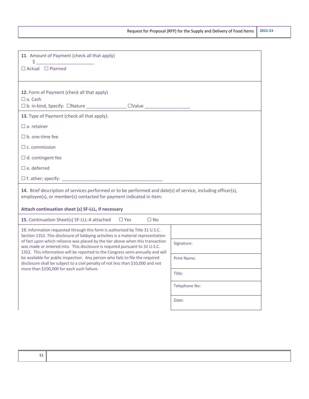| 11. Amount of Payment (check all that apply)<br>$\begin{picture}(20,10) \put(0,0){\line(1,0){10}} \put(15,0){\line(1,0){10}} \put(15,0){\line(1,0){10}} \put(15,0){\line(1,0){10}} \put(15,0){\line(1,0){10}} \put(15,0){\line(1,0){10}} \put(15,0){\line(1,0){10}} \put(15,0){\line(1,0){10}} \put(15,0){\line(1,0){10}} \put(15,0){\line(1,0){10}} \put(15,0){\line(1,0){10}} \put(15,0){\line(1$ |               |  |
|-----------------------------------------------------------------------------------------------------------------------------------------------------------------------------------------------------------------------------------------------------------------------------------------------------------------------------------------------------------------------------------------------------|---------------|--|
| $\Box$ Actual $\Box$ Planned                                                                                                                                                                                                                                                                                                                                                                        |               |  |
|                                                                                                                                                                                                                                                                                                                                                                                                     |               |  |
| 12. Form of Payment (check all that apply)                                                                                                                                                                                                                                                                                                                                                          |               |  |
| $\Box$ a. Cash                                                                                                                                                                                                                                                                                                                                                                                      |               |  |
|                                                                                                                                                                                                                                                                                                                                                                                                     |               |  |
| 13. Type of Payment (check all that apply):                                                                                                                                                                                                                                                                                                                                                         |               |  |
| $\Box$ a. retainer                                                                                                                                                                                                                                                                                                                                                                                  |               |  |
| $\square$ b. one-time fee                                                                                                                                                                                                                                                                                                                                                                           |               |  |
| $\Box$ c. commission                                                                                                                                                                                                                                                                                                                                                                                |               |  |
| $\Box$ d. contingent fee                                                                                                                                                                                                                                                                                                                                                                            |               |  |
| $\square$ e. deferred                                                                                                                                                                                                                                                                                                                                                                               |               |  |
|                                                                                                                                                                                                                                                                                                                                                                                                     |               |  |
| 14. Brief description of services performed or to be performed and date(s) of service, including officer(s),<br>employee(s), or member(s) contacted for payment indicated in item:                                                                                                                                                                                                                  |               |  |
| Attach continuation sheet (s) SF-LLL, if necessary                                                                                                                                                                                                                                                                                                                                                  |               |  |
| 15. Continuation Sheet(s) SF-LLL-A attached<br>$\Box$ Yes<br>$\Box$ No                                                                                                                                                                                                                                                                                                                              |               |  |
| 16. Information requested through this form is authorized by Title 31 U.S.C.<br>Section 1352. This disclosure of lobbying activities is a material representation                                                                                                                                                                                                                                   |               |  |
| of fact upon which reliance was placed by the tier above when this transaction<br>was made or entered into. This disclosure is required pursuant to 31 U.S.C.                                                                                                                                                                                                                                       | Signature:    |  |
| 1352. This information will be reported to the Congress semi-annually and will<br>be available for public inspection. Any person who fails to file the required<br>disclosure shall be subject to a civil penalty of not less than \$10,000 and not<br>more than \$100,000 for each such failure.                                                                                                   | Print Name:   |  |
|                                                                                                                                                                                                                                                                                                                                                                                                     | Title:        |  |
|                                                                                                                                                                                                                                                                                                                                                                                                     | Telephone No: |  |
|                                                                                                                                                                                                                                                                                                                                                                                                     | Date:         |  |
|                                                                                                                                                                                                                                                                                                                                                                                                     |               |  |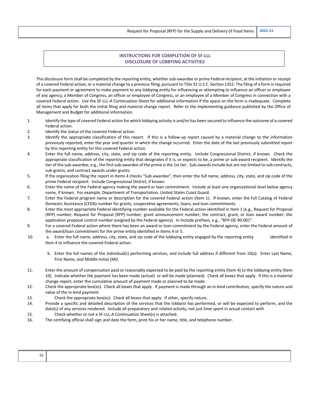Request for Proposal (RFP) for the Supply and Delivery of Food Items **2022-23**

#### **INSTRUCTIONS FOR COMPLETION OF SF-LLL DISCLOSURE OF LOBBYING ACTIVITIES**

This disclosure form shall be completed by the reporting entity, whether sub-awardee or prime Federal recipient, at the initiation or receipt of a covered Federal action, or a material change to a previous filing, pursuant to Title 31 U.S.C. Section 1352. The filing of a form is required for each payment or agreement to make payment to any lobbying entity for influencing or attempting to influence an officer or employee of any agency, a Member of Congress, an officer or employee of Congress, or an employee of a Member of Congress in connection with a covered Federal action. Use the SF-LLL-A Continuation Sheet for additional information if the space on the form is inadequate. Complete all items that apply for both the initial filing and material change report. Refer to the implementing guidance published by the Office of Management and Budget for additional information.

- 1. Identify the type of covered Federal action for which lobbying activity is and/or has been secured to influence the outcome of a covered Federal action.
- 2. Identify the status of the covered Federal action.
- 3. Identify the appropriate classification of this report. If this is a follow-up report caused by a material change to the information previously reported, enter the year and quarter in which the change occurred. Enter the date of the last previously submitted report by this reporting entity for this covered Federal action.
- 4. Enter the full name, address, city, state, and zip code of the reporting entity. Include Congressional District, if known. Check the appropriate classification of the reporting entity that designates if it is, or expects to be, a prime or sub-award recipient. Identify the tier of the sub-awardee, e.g., the first sub-awardee of the prime is the 1st tier. Sub-awards include but are not limited to sub-contracts, sub-grants, and contract awards under grants.
- 5. If the organization filing the report in Items 4 checks "Sub-awardee", then enter the full name, address, city, state, and zip code of the prime Federal recipient. Include Congressional District, if known.
- 6. Enter the name of the Federal agency making the award or loan commitment. Include at least one organizational level below agency name, if known. For example, Department of Transportation, United States Coast Guard.
- 7. Enter the Federal program name or description for the covered Federal action (Item 1). If known, enter the full Catalog of Federal Domestic Assistance (CFDA) number for grants, cooperative agreements, loans, and loan commitments.
- 8. Enter the most appropriate Federal identifying number available for the Federal action identified in Item 1 (e.g., Request for Proposal (RFP) number; Request for Proposal (RFP) number; grant announcement number; the contract, grant, or loan award number; the application proposal control number assigned by the Federal agency). In Include prefixes, e.g., "RFP-DE-90-001".
- 9. For a covered Federal action where there has been an award or loan commitment by the Federal agency, enter the Federal amount of the award/loan commitment for the prime entity identified in Items 4 or 5.
- 10. a. Enter the full name, address, city, state, and zip code of the lobbying entity engaged by the reporting entity identified in Item 4 to influence the covered Federal action.
	- b. Enter the full names of the individual(s) performing services, and include full address if different from 10(a). Enter Last Name, First Name, and Middle Initial (MI).
- 11. Enter the amount of compensation paid or reasonably expected to be paid by the reporting entity (Item 4) to the lobbying entity (Item 10). Indicate whether the payment has been made (actual) or will be made (planned). Check all boxes that apply. If this is a material change report, enter the cumulative amount of payment made or planned to be made.
- 12. Check the appropriate box(es). Check all boxes that apply. If payment is made through an in-kind contribution, specify the nature and value of the in-kind payment.
- 13. Check the appropriate box(es). Check all boxes that apply. If other, specify nature.
- 14. Provide a specific and detailed description of the services that the lobbyist has performed, or will be expected to perform, and the date(s) of any services rendered. Include all preparatory and related activity, not just time spent in actual contact with
- 15. Check whether or not a SF-LLL-A Continuation Sheet(s) is attached.
- 16. The certifying official shall sign and date the form, print his or her name, title, and telephone number.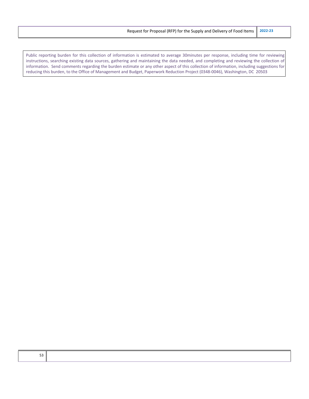Public reporting burden for this collection of information is estimated to average 30minutes per response, including time for reviewing instructions, searching existing data sources, gathering and maintaining the data needed, and completing and reviewing the collection of information. Send comments regarding the burden estimate or any other aspect of this collection of information, including suggestions for reducing this burden, to the Office of Management and Budget, Paperwork Reduction Project (0348-0046), Washington, DC 20503